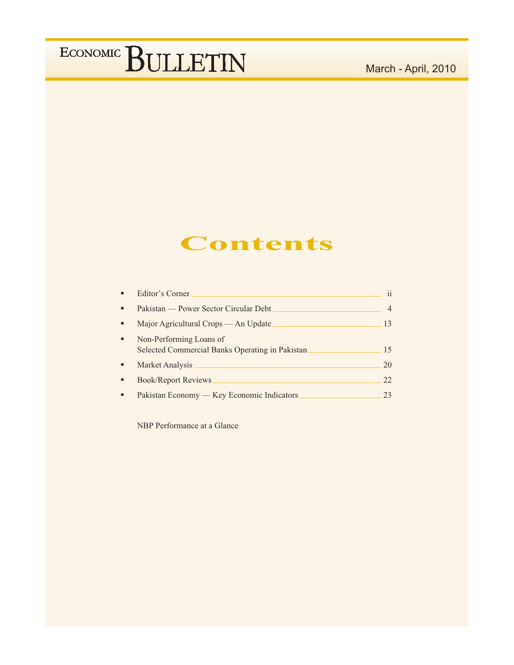### March - April, 2010

### Contents

|   | Editor's Corner                                                            | $\mathbf{ii}$ |
|---|----------------------------------------------------------------------------|---------------|
| ٠ | Pakistan — Power Sector Circular Debt                                      | 4             |
| ٠ | Major Agricultural Crops — An Update                                       | 13            |
| ٠ | Non-Performing Loans of<br>Selected Commercial Banks Operating in Pakistan | 15            |
|   | Market Analysis                                                            | 20            |
|   | <b>Book/Report Reviews</b>                                                 | 22.           |
|   | Pakistan Economy — Key Economic Indicators                                 | 23            |

NBP Performance at a Glance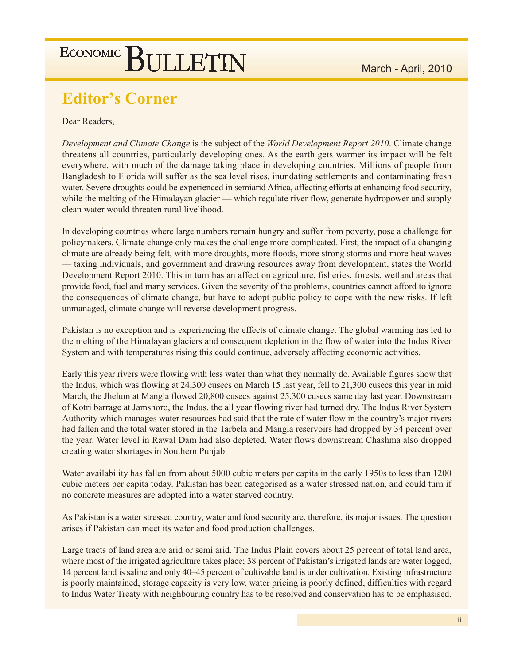### **Editor's Corner**

#### Dear Readers,

Development and Climate Change is the subject of the World Development Report 2010. Climate change threatens all countries, particularly developing ones. As the earth gets warmer its impact will be felt everywhere, with much of the damage taking place in developing countries. Millions of people from Bangladesh to Florida will suffer as the sea level rises, inundating settlements and contaminating fresh water. Severe droughts could be experienced in semiarid Africa, affecting efforts at enhancing food security, while the melting of the Himalayan glacier — which regulate river flow, generate hydropower and supply clean water would threaten rural livelihood.

In developing countries where large numbers remain hungry and suffer from poverty, pose a challenge for policymakers. Climate change only makes the challenge more complicated. First, the impact of a changing climate are already being felt, with more droughts, more floods, more strong storms and more heat waves — taxing individuals, and government and drawing resources away from development, states the World Development Report 2010. This in turn has an affect on agriculture, fisheries, forests, wetland areas that provide food, fuel and many services. Given the severity of the problems, countries cannot afford to ignore the consequences of climate change, but have to adopt public policy to cope with the new risks. If left unmanaged, climate change will reverse development progress.

Pakistan is no exception and is experiencing the effects of climate change. The global warming has led to the melting of the Himalayan glaciers and consequent depletion in the flow of water into the Indus River System and with temperatures rising this could continue, adversely affecting economic activities.

Early this year rivers were flowing with less water than what they normally do. Available figures show that the Indus, which was flowing at 24,300 cusecs on March 15 last year, fell to 21,300 cusecs this year in mid March, the Jhelum at Mangla flowed 20,800 cusecs against 25,300 cusecs same day last year. Downstream of Kotri barrage at Jamshoro, the Indus, the all year flowing river had turned dry. The Indus River System Authority which manages water resources had said that the rate of water flow in the country's major rivers had fallen and the total water stored in the Tarbela and Mangla reservoirs had dropped by 34 percent over the year. Water level in Rawal Dam had also depleted. Water flows downstream Chashma also dropped creating water shortages in Southern Punjab.

Water availability has fallen from about 5000 cubic meters per capita in the early 1950s to less than 1200 cubic meters per capita today. Pakistan has been categorised as a water stressed nation, and could turn if no concrete measures are adopted into a water starved country.

As Pakistan is a water stressed country, water and food security are, therefore, its major issues. The question arises if Pakistan can meet its water and food production challenges.

Large tracts of land area are arid or semi arid. The Indus Plain covers about 25 percent of total land area, where most of the irrigated agriculture takes place; 38 percent of Pakistan's irrigated lands are water logged, 14 percent land is saline and only 40–45 percent of cultivable land is under cultivation. Existing infrastructure is poorly maintained, storage capacity is very low, water pricing is poorly defined, difficulties with regard to Indus Water Treaty with neighbouring country has to be resolved and conservation has to be emphasised.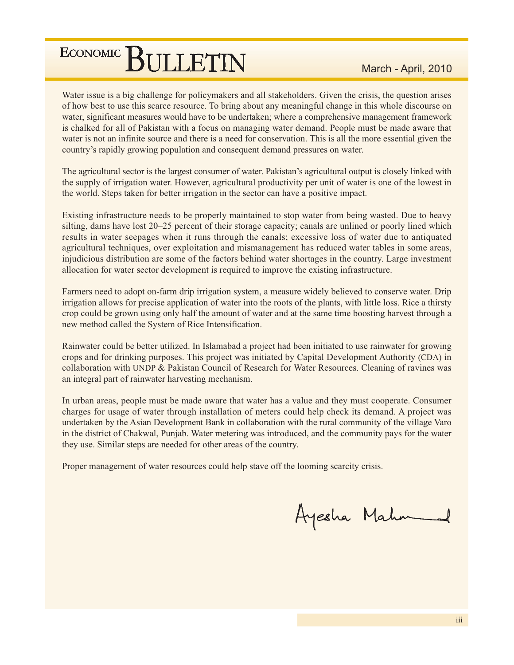Water issue is a big challenge for policymakers and all stakeholders. Given the crisis, the question arises of how best to use this scarce resource. To bring about any meaningful change in this whole discourse on water, significant measures would have to be undertaken; where a comprehensive management framework is chalked for all of Pakistan with a focus on managing water demand. People must be made aware that water is not an infinite source and there is a need for conservation. This is all the more essential given the country's rapidly growing population and consequent demand pressures on water.

The agricultural sector is the largest consumer of water. Pakistan's agricultural output is closely linked with the supply of irrigation water. However, agricultural productivity per unit of water is one of the lowest in the world. Steps taken for better irrigation in the sector can have a positive impact.

Existing infrastructure needs to be properly maintained to stop water from being wasted. Due to heavy silting, dams have lost 20–25 percent of their storage capacity; canals are unlined or poorly lined which results in water seepages when it runs through the canals; excessive loss of water due to antiquated agricultural techniques, over exploitation and mismanagement has reduced water tables in some areas, injudicious distribution are some of the factors behind water shortages in the country. Large investment allocation for water sector development is required to improve the existing infrastructure.

Farmers need to adopt on-farm drip irrigation system, a measure widely believed to conserve water. Drip irrigation allows for precise application of water into the roots of the plants, with little loss. Rice a thirsty crop could be grown using only half the amount of water and at the same time boosting harvest through a new method called the System of Rice Intensification.

Rainwater could be better utilized. In Islamabad a project had been initiated to use rainwater for growing crops and for drinking purposes. This project was initiated by Capital Development Authority (CDA) in collaboration with UNDP & Pakistan Council of Research for Water Resources. Cleaning of ravines was an integral part of rainwater harvesting mechanism.

In urban areas, people must be made aware that water has a value and they must cooperate. Consumer charges for usage of water through installation of meters could help check its demand. A project was undertaken by the Asian Development Bank in collaboration with the rural community of the village Varo in the district of Chakwal, Punjab. Water metering was introduced, and the community pays for the water they use. Similar steps are needed for other areas of the country.

Proper management of water resources could help stave off the looming scarcity crisis.

Ayesha Mahn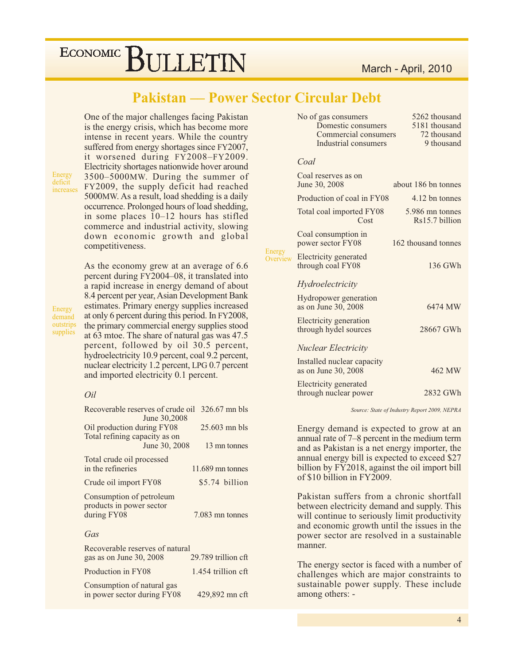### **Pakistan — Power Sector Circular Debt**

Energ Overy

One of the major challenges facing Pakistan is the energy crisis, which has become more intense in recent years. While the country suffered from energy shortages since FY2007, it worsened during FY2008-FY2009. Electricity shortages nationwide hover around 3500–5000MW. During the summer of FY2009, the supply deficit had reached 5000 MW. As a result, load shedding is a daily occurrence. Prolonged hours of load shedding, in some places 10-12 hours has stifled

commerce and industrial activity, slowing down economic growth and global competitiveness. As the economy grew at an average of 6.6 percent during FY2004-08, it translated into a rapid increase in energy demand of about 8.4 percent per year, Asian Development Bank estimates. Primary energy supplies increased

at only 6 percent during this period. In FY2008,

the primary commercial energy supplies stood

at 63 mtoe. The share of natural gas was 47.5 percent, followed by oil 30.5 percent, hydroelectricity 10.9 percent, coal 9.2 percent, nuclear electricity 1.2 percent, LPG 0.7 percent

and imported electricity 0.1 percent.

Energy demand outstrips supplies

Energy

deficit

increases

#### Oil

| Recoverable reserves of crude oil                                           | $326.67$ mn bls          |
|-----------------------------------------------------------------------------|--------------------------|
| June 30,2008<br>Oil production during FY08<br>Total refining capacity as on | $25.603$ mn bls          |
| June 30, 2008                                                               | 13 mn tonnes             |
| Total crude oil processed<br>in the refineries                              | $11.689$ mn tonnes       |
| Crude oil import FY08                                                       | \$5.74 billion           |
| Consumption of petroleum<br>products in power sector<br>during FY08         | 7.083 mn tonnes          |
| Gas                                                                         |                          |
| Recoverable reserves of natural                                             | $20.790$ to $11.20$ $64$ |

| gas as on June 30, 2008                                   | 29.789 trillion cft |
|-----------------------------------------------------------|---------------------|
| Production in FY08                                        | 1.454 trillion cft  |
| Consumption of natural gas<br>in power sector during FY08 | 429,892 mn cft      |

| No of gas consumers  | 5262 thousand |
|----------------------|---------------|
| Domestic consumers   | 5181 thousand |
| Commercial consumers | 72 thousand   |
| Industrial consumers | 9 thousand    |
|                      |               |

#### Coal

|          | Coal reserves as on<br>June 30, 2008              | about 186 bn tonnes                 |
|----------|---------------------------------------------------|-------------------------------------|
|          | Production of coal in FY08                        | 4.12 bn tonnes                      |
|          | Total coal imported FY08<br>Cost                  | 5.986 mn tonnes<br>$Rs15.7$ billion |
|          | Coal consumption in<br>power sector FY08          | 162 thousand tonnes                 |
| .<br>iew | Electricity generated<br>through coal FY08        | 136 GWh                             |
|          | Hydroelectricity                                  |                                     |
|          | Hydropower generation<br>as on June 30, 2008      | 6474 MW                             |
|          | Electricity generation<br>through hydel sources   | 28667 GWh                           |
|          | <b>Nuclear Electricity</b>                        |                                     |
|          | Installed nuclear capacity<br>as on June 30, 2008 | 462 MW                              |
|          | Electricity generated<br>through nuclear power    | 2832 GWh                            |
|          |                                                   |                                     |

Source: State of Industry Report 2009, NEPRA

Energy demand is expected to grow at an annual rate of 7–8 percent in the medium term and as Pakistan is a net energy importer, the annual energy bill is expected to exceed \$27 billion by FY2018, against the oil import bill of \$10 billion in FY2009.

Pakistan suffers from a chronic shortfall between electricity demand and supply. This will continue to seriously limit productivity and economic growth until the issues in the power sector are resolved in a sustainable manner.

The energy sector is faced with a number of challenges which are major constraints to sustainable power supply. These include among others: -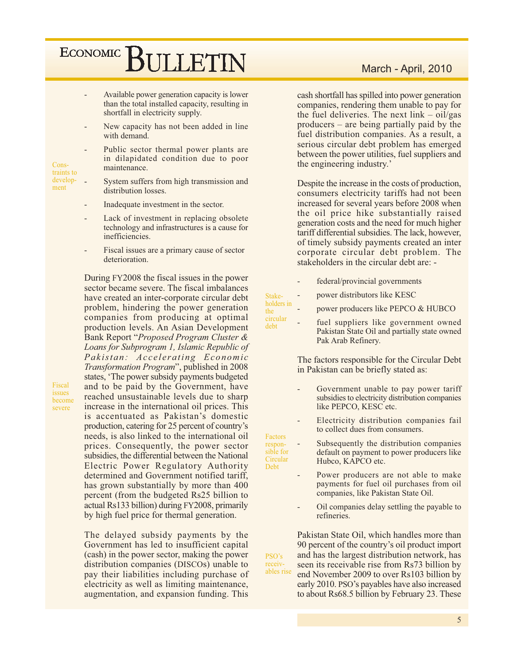- Available power generation capacity is lower than the total installed capacity, resulting in shortfall in electricity supply.
- New capacity has not been added in line with demand.

Public sector thermal power plants are in dilapidated condition due to poor maintenance.

- System suffers from high transmission and distribution losses.
	- Inadequate investment in the sector.
	- Lack of investment in replacing obsolete technology and infrastructures is a cause for inefficiencies.
	- Fiscal issues are a primary cause of sector deterioration.

During FY2008 the fiscal issues in the power sector became severe. The fiscal imbalances have created an inter-corporate circular debt problem, hindering the power generation companies from producing at optimal production levels. An Asian Development Bank Report "Proposed Program Cluster & Loans for Subprogram 1, Islamic Republic of Pakistan: Accelerating Economic Transformation Program", published in 2008 states, 'The power subsidy payments budgeted and to be paid by the Government, have reached unsustainable levels due to sharp increase in the international oil prices. This is accentuated as Pakistan's domestic production, catering for 25 percent of country's needs, is also linked to the international oil prices. Consequently, the power sector subsidies, the differential between the National Electric Power Regulatory Authority determined and Government notified tariff, has grown substantially by more than 400 percent (from the budgeted Rs25 billion to actual Rs133 billion) during FY2008, primarily by high fuel price for thermal generation.

The delayed subsidy payments by the Government has led to insufficient capital (cash) in the power sector, making the power distribution companies (DISCOs) unable to pay their liabilities including purchase of electricity as well as limiting maintenance, augmentation, and expansion funding. This

cash shortfall has spilled into power generation companies, rendering them unable to pay for the fuel deliveries. The next  $link - oil/gas$ producers – are being partially paid by the fuel distribution companies. As a result, a serious circular debt problem has emerged between the power utilities, fuel suppliers and the engineering industry.'

Despite the increase in the costs of production, consumers electricity tariffs had not been increased for several years before 2008 when the oil price hike substantially raised generation costs and the need for much higher tariff differential subsidies. The lack, however, of timely subsidy payments created an inter corporate circular debt problem. The stakeholders in the circular debt are: -

federal/provincial governments power distributors like KESC

Stake-

Debt

 $PSO's$ 

receiv-

- holders in power producers like PEPCO & HUBCO the
- circular fuel suppliers like government owned debt Pakistan State Oil and partially state owned Pak Arab Refinery.

The factors responsible for the Circular Debt in Pakistan can be briefly stated as:

- Government unable to pay power tariff subsidies to electricity distribution companies like PEPCO, KESC etc.
- Electricity distribution companies fail to collect dues from consumers.
- Factors Subsequently the distribution companies responsible for default on payment to power producers like Circular Hubco, KAPCO etc.
	- Power producers are not able to make payments for fuel oil purchases from oil companies, like Pakistan State Oil.
	- Oil companies delay settling the payable to refineries.

Pakistan State Oil, which handles more than 90 percent of the country's oil product import and has the largest distribution network, has seen its receivable rise from Rs73 billion by ables rise end November 2009 to over Rs103 billion by early 2010. PSO's payables have also increased to about Rs68.5 billion by February 23. These

### March - April, 2010

traints to development

Cons-

Fiscal

issues

severe

become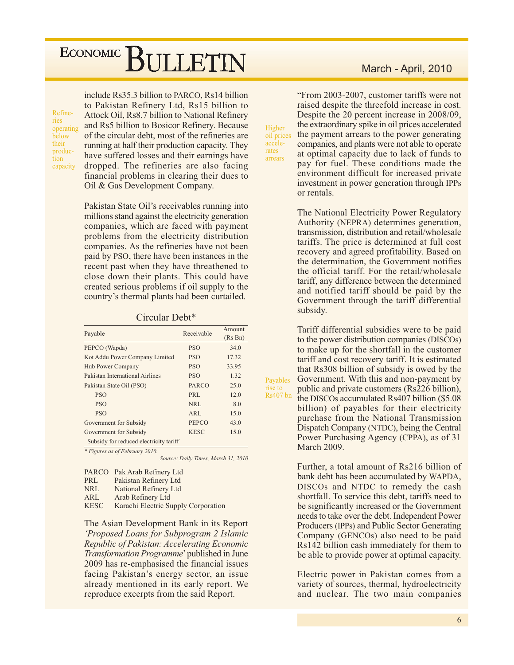Refineries operating below their production capacity

include Rs35.3 billion to PARCO, Rs14 billion to Pakistan Refinery Ltd, Rs15 billion to Attock Oil, Rs8.7 billion to National Refinery and Rs5 billion to Bosicor Refinery. Because of the circular debt, most of the refineries are running at half their production capacity. They have suffered losses and their earnings have dropped. The refineries are also facing financial problems in clearing their dues to Oil & Gas Development Company.

Pakistan State Oil's receivables running into millions stand against the electricity generation companies, which are faced with payment problems from the electricity distribution companies. As the refineries have not been paid by PSO, there have been instances in the recent past when they have threathened to close down their plants. This could have created serious problems if oil supply to the country's thermal plants had been curtailed.

#### Circular Debt\*

| Payable                                | Receivable       | Amount<br>(Rs Bn) |
|----------------------------------------|------------------|-------------------|
| PEPCO (Wapda)                          | <b>PSO</b>       | 34.0              |
| Kot Addu Power Company Limited         | PSO <sub>1</sub> | 17.32             |
| Hub Power Company                      | <b>PSO</b>       | 33.95             |
| Pakistan International Airlines        | <b>PSO</b>       | 1.32              |
| Pakistan State Oil (PSO)               | PARCO            | 25.0              |
| <b>PSO</b>                             | PRL              | 12.0              |
| <b>PSO</b>                             | NRL              | 8.0               |
| <b>PSO</b>                             | ARL              | 15.0              |
| Government for Subsidy                 | <b>PEPCO</b>     | 43.0              |
| Government for Subsidy                 | <b>KESC</b>      | 15.0              |
| Subsidy for reduced electricity tariff |                  |                   |

\* Figures as of February 2010.

Source: Daily Times, March 31, 2010

corporation

|             | PARCO Pak Arab Refinery Ltd |
|-------------|-----------------------------|
| PRL         | Pakistan Refinery Ltd       |
| <b>NRL</b>  | National Refinery Ltd       |
| ARL         | Arab Refinery Ltd           |
| <b>KESC</b> | Karachi Electric Supply C   |

The Asian Development Bank in its Report 'Proposed Loans for Subprogram 2 Islamic Republic of Pakistan: Accelerating Economic Transformation Programme' published in June 2009 has re-emphasised the financial issues facing Pakistan's energy sector, an issue already mentioned in its early report. We reproduce excerpts from the said Report.

#### March - April, 2010

"From 2003-2007, customer tariffs were not raised despite the threefold increase in cost. Despite the 20 percent increase in 2008/09, the extraordinary spike in oil prices accelerated the payment arrears to the power generating companies, and plants were not able to operate at optimal capacity due to lack of funds to pay for fuel. These conditions made the environment difficult for increased private investment in power generation through IPPs or rentals.

Higher

accele-

rates

arrears

Payables

rise to **Rs407** bn

oil prices

The National Electricity Power Regulatory Authority (NEPRA) determines generation, transmission, distribution and retail/wholesale tariffs. The price is determined at full cost recovery and agreed profitability. Based on the determination, the Government notifies the official tariff. For the retail/wholesale tariff, any difference between the determined and notified tariff should be paid by the Government through the tariff differential subsidy.

Tariff differential subsidies were to be paid to the power distribution companies (DISCOs) to make up for the shortfall in the customer tariff and cost recovery tariff. It is estimated that Rs308 billion of subsidy is owed by the Government. With this and non-payment by public and private customers (Rs226 billion), the DISCOs accumulated Rs407 billion (\$5.08) billion) of payables for their electricity purchase from the National Transmission Dispatch Company (NTDC), being the Central Power Purchasing Agency (CPPA), as of 31 **March 2009.** 

Further, a total amount of Rs216 billion of bank debt has been accumulated by WAPDA, DISCOs and NTDC to remedy the cash shortfall. To service this debt, tariffs need to be significantly increased or the Government needs to take over the debt. Independent Power Producers (IPPs) and Public Sector Generating Company (GENCOs) also need to be paid Rs142 billion cash immediately for them to be able to provide power at optimal capacity.

Electric power in Pakistan comes from a variety of sources, thermal, hydroelectricity and nuclear. The two main companies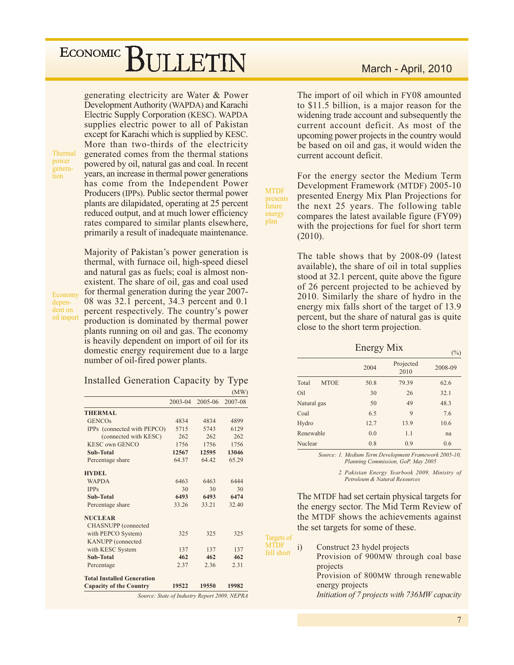generating electricity are Water & Power Development Authority (WAPDA) and Karachi Electric Supply Corporation (KESC). WAPDA supplies electric power to all of Pakistan except for Karachi which is supplied by KESC. More than two-thirds of the electricity generated comes from the thermal stations powered by oil, natural gas and coal. In recent years, an increase in thermal power generations has come from the Independent Power Producers (IPPs). Public sector thermal power plants are dilapidated, operating at 25 percent reduced output, and at much lower efficiency rates compared to similar plants elsewhere, primarily a result of inadequate maintenance.

Majority of Pakistan's power generation is

thermal, with furnace oil, high-speed diesel

Thermal power generation

depen-

and natural gas as fuels; coal is almost nonexistent. The share of oil, gas and coal used for thermal generation during the year 2007-Economy 08 was 32.1 percent, 34.3 percent and 0.1 dent on percent respectively. The country's power oil import production is dominated by thermal power plants running on oil and gas. The economy is heavily dependent on import of oil for its domestic energy requirement due to a large

#### Installed Generation Capacity by Type

number of oil-fired power plants.

|                                   |             |         | (MW)    |
|-----------------------------------|-------------|---------|---------|
|                                   | $2003 - 04$ | 2005-06 | 2007-08 |
| <b>THERMAL</b>                    |             |         |         |
| <b>GENCOs</b>                     | 4834        | 4834    | 4899    |
| IPPs (connected with PEPCO)       | 5715        | 5743    | 6129    |
| (connected with KESC)             | 262         | 262     | 262     |
| <b>KESC own GENCO</b>             | 1756        | 1756    | 1756    |
| Sub-Total                         | 12567       | 12595   | 13046   |
| Percentage share                  | 64.37       | 64.42   | 65.29   |
| <b>HYDEL</b>                      |             |         |         |
| <b>WAPDA</b>                      | 6463        | 6463    | 6444    |
| <b>IPPs</b>                       | 30          | 30      | 30      |
| Sub-Total                         | 6493        | 6493    | 6474    |
| Percentage share                  | 33.26       | 33.21   | 32.40   |
| <b>NUCLEAR</b>                    |             |         |         |
| <b>CHASNUPP</b> (connected        |             |         |         |
| with PEPCO System)                | 325         | 325     | 325     |
| KANUPP (connected                 |             |         |         |
| with KESC System                  | 137         | 137     | 137     |
| Sub-Total                         | 462         | 462     | 462     |
| Percentage                        | 2.37        | 2.36    | 2.31    |
| <b>Total Installed Generation</b> |             |         |         |
| <b>Capacity of the Country</b>    | 19522       | 19550   | 19982   |

#### March - April, 2010

The import of oil which in FY08 amounted to \$11.5 billion, is a major reason for the widening trade account and subsequently the current account deficit. As most of the upcoming power projects in the country would be based on oil and gas, it would widen the current account deficit.

For the energy sector the Medium Term Development Framework (MTDF) 2005-10 presented Energy Mix Plan Projections for the next 25 years. The following table compares the latest available figure (FY09) with the projections for fuel for short term  $(2010).$ 

**MTDF** 

future

energy

plan

presents

The table shows that by 2008-09 (latest) available), the share of oil in total supplies stood at 32.1 percent, quite above the figure of 26 percent projected to be achieved by 2010. Similarly the share of hydro in the energy mix falls short of the target of 13.9 percent, but the share of natural gas is quite close to the short term projection.

Energy Mix

|                      |      |                   | $\sqrt{9}$ |
|----------------------|------|-------------------|------------|
|                      | 2004 | Projected<br>2010 | 2008-09    |
| <b>MTOE</b><br>Total | 50.8 | 79.39             | 62.6       |
| Oil                  | 30   | 26                | 32.1       |
| Natural gas          | 50   | 49                | 48.3       |
| Coal                 | 6.5  | 9                 | 7.6        |
| Hydro                | 12.7 | 13.9              | 10.6       |
| Renewable            | 0.0  | 1.1               | na         |
| Nuclear              | 0.8  | 0.9               | 0.6        |

Source: 1. Medium Term Development Framework 2005-10, Planning Commission, GoP, May 2005

> 2. Pakistan Energy Yearbook 2009, Ministry of Petroleum & Natural Resources

The MTDF had set certain physical targets for the energy sector. The Mid Term Review of the MTDF shows the achievements against the set targets for some of these.

Targets of **MTDF** Construct 23 hydel projects  $i)$ fell short Provision of 900MW through coal base projects Provision of 800MW through renewable energy projects Initiation of 7 projects with 736MW capacity

 $(0/3)$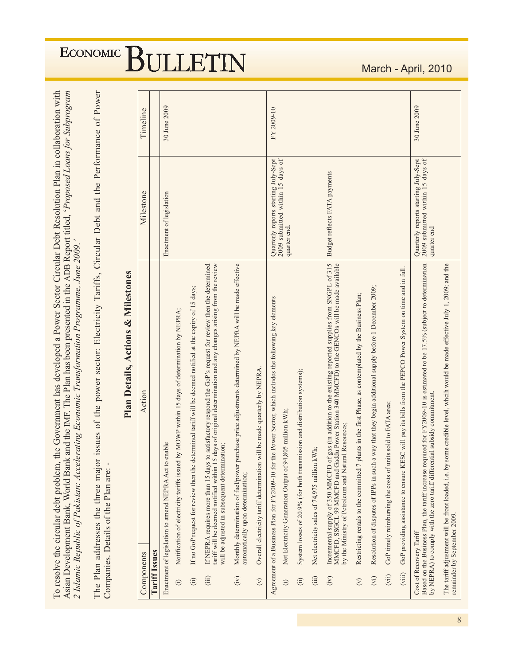| To resolve the circular debt problem, the Government has developed a Power Sector Circular Debt Resolution Plan in collaboration with<br>Asian Development Bank, World Bank and the IMF. The Plan has been presented in the ADB Report titled, 'Proposed Loans for Subprogram<br>2 Islamic Republic of Pakistan: Accelerating Economic Transformation Programme, June 2009.' |                          |              |
|------------------------------------------------------------------------------------------------------------------------------------------------------------------------------------------------------------------------------------------------------------------------------------------------------------------------------------------------------------------------------|--------------------------|--------------|
| The Plan addresses the three major issues of the power sector: Electricity Tariffs, Circular Debt and the Performance of Power<br>Companies. Details of the Plan are: -                                                                                                                                                                                                      |                          |              |
| Plan Details, Actions & Milestones                                                                                                                                                                                                                                                                                                                                           |                          |              |
| Action<br>Components                                                                                                                                                                                                                                                                                                                                                         | Milestone                | Timeline     |
| <b>Tariff Issues</b>                                                                                                                                                                                                                                                                                                                                                         |                          |              |
| enable<br>Enactment of legislation to amend NEPRA Act to                                                                                                                                                                                                                                                                                                                     | Enactment of legislation | 30 June 2009 |
| $\mathbf{M}$ of $\mathcal{C}$ and $\mathcal{C}$ and $\mathcal{C}$ and $\mathcal{C}$ and $\mathcal{C}$ and $\mathcal{C}$ and $\mathcal{C}$ and $\mathcal{C}$ and $\mathcal{C}$ and $\mathcal{C}$ and $\mathcal{C}$ and $\mathcal{C}$ and $\mathcal{C}$ and $\mathcal{C}$ and $\mathcal{C}$ and $\mathcal{C}$ and                                                              |                          |              |

| Components                                 | Action                                                                                                                                                                                                                                                                           | Milestone                                                                               | Timeline     |
|--------------------------------------------|----------------------------------------------------------------------------------------------------------------------------------------------------------------------------------------------------------------------------------------------------------------------------------|-----------------------------------------------------------------------------------------|--------------|
| <b>Tariff Issues</b>                       |                                                                                                                                                                                                                                                                                  |                                                                                         |              |
|                                            | Enactment of legislation to amend NEPRA Act to enable                                                                                                                                                                                                                            | Enactment of legislation                                                                | 30 June 2009 |
| $\odot$                                    | Notification of electricity tariffs issued by MOWP within 15 days of determination by NEPRA;                                                                                                                                                                                     |                                                                                         |              |
| $\hat{a}$                                  | If no GoP request for review then the determined tariff will be deemed notified at the expiry of 15 days;                                                                                                                                                                        |                                                                                         |              |
| (iii)                                      | tariff will be deemed notified within 15 days of original determination and any changes arising from the review<br>If NEPRA requires more than 15 days to satisfactory respond the GoP's request for review then the determined<br>will be adjusted in subsequent determination; |                                                                                         |              |
| (iv)                                       | Monthly determination of fuel/power purchase price adjustments determined by NEPRA will be made effective<br>automatically upon determination;                                                                                                                                   |                                                                                         |              |
| $\begin{pmatrix} \nabla \end{pmatrix}$     | Overall electricity tariff determination will be made quarterly by NEPRA.                                                                                                                                                                                                        |                                                                                         |              |
|                                            | Agreement of a Business Plan for FY2009-10 for the Power Sector, which includes the following key elements                                                                                                                                                                       | 2009 submitted within 15 days of<br>Quarterly reports starting July-Sept                | FY 2009-10   |
| $\odot$                                    | .,805 million kWh;<br>Net Electricity Generation Output of 94                                                                                                                                                                                                                    | quarter end.                                                                            |              |
| (i)                                        | System losses of 20.9% (for both transmission and distribution systems);                                                                                                                                                                                                         |                                                                                         |              |
| (iii)                                      | Net electricity sales of 74,975 million kWh;                                                                                                                                                                                                                                     |                                                                                         |              |
| $\left(\ddot{\mathrm{i}}\mathrm{v}\right)$ | Incremental supply of 350 MMCFD of gas (in addition to the existing reported supplies from SNGPL of 315<br>MMCFD, SSGCL 99 MMCFD and Gaddu Power Station 340 MMCFD) to the GENCOs will be made available<br>by the Ministry of Petroleum and Natural Resources;                  | Budget reflects FATA payments                                                           |              |
| $\mathfrak{S}$                             | Restricting rentals to the committed 7 plants in the first Phase, as contemplated by the Business Plan;                                                                                                                                                                          |                                                                                         |              |
| $\hat{(\mathbf{v})}$                       | Resolution of disputes of IPPs in such a way that they begin additional supply before 1 December 2009;                                                                                                                                                                           |                                                                                         |              |
| (vii)                                      | GoP timely reimbursing the costs of units sold to FATA area;                                                                                                                                                                                                                     |                                                                                         |              |
| (viii)                                     | SC will pay its bills from the PEPCO Power System on time and in full.<br>GoP providing assistance to ensure KE                                                                                                                                                                  |                                                                                         |              |
|                                            | Based on the Business Plan, the tariff increase required for FY2009-10 is estimated to be 17.5% (subject to determination<br>by NEPRA) to comply with the zero tariff differential subsidy commitment.<br>Cost of Recovery Tariff                                                | 2009 submitted within 15 days of<br>Quarterly reports starting July-Sept<br>quarter end | 30 June 2009 |
|                                            | The tariff adjustment will be front loaded, i.e. by some credible level, wheih would be made effective July 1, 2009; and the<br>remainder by September 2009.                                                                                                                     |                                                                                         |              |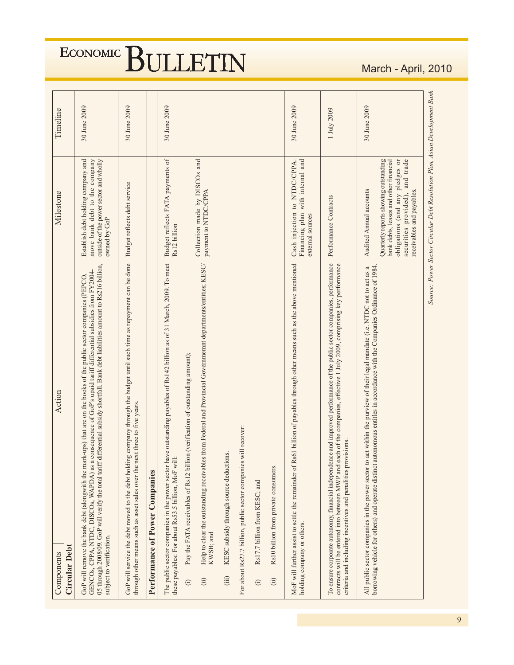| Components                                                                                                 | Action                                                                                                                                                                                                                                                                                                                                                                      | Milestone                                                                                                                                                                          | Timeline     |
|------------------------------------------------------------------------------------------------------------|-----------------------------------------------------------------------------------------------------------------------------------------------------------------------------------------------------------------------------------------------------------------------------------------------------------------------------------------------------------------------------|------------------------------------------------------------------------------------------------------------------------------------------------------------------------------------|--------------|
| <b>Circular Debt</b>                                                                                       |                                                                                                                                                                                                                                                                                                                                                                             |                                                                                                                                                                                    |              |
| subject to verification.                                                                                   | 05 through 2008/09. GoP will verify the total tariff differential subsidy shortfall. Bank debt liabilities amount to Rs216 billion,<br>GENCOs, CPPA, NTDC, DISCOs, WAPDA) as a consequence of GoP's upaid tariff differential subsidies from FY2004-<br>GoP will remove the bank debt (alongwith the mark-ups) that are on the books of the public sector companies (PEPCO, | Establish debt holding company and<br>move bank debt to the company<br>outside of the power sector and wholly<br>owned by GoP                                                      | 30 June 2009 |
|                                                                                                            | GoP will service the debt moved to the debt holding company through the budget until such time as repayment can be done<br>through other means such as asset sales over the next three to five years.                                                                                                                                                                       | Budget reflects debt service                                                                                                                                                       | 30 June 2009 |
| Performance of Power Companies                                                                             |                                                                                                                                                                                                                                                                                                                                                                             |                                                                                                                                                                                    |              |
| these payables: For about Rs53.5 billion, MoF will:<br>The public sector companies in the power sector has | ve outstanding payables of Rs142 billion as of 31 March, 2009. To meet                                                                                                                                                                                                                                                                                                      | Budget reflects FATA payments of<br>Rs12 billion                                                                                                                                   | 30 June 2009 |
| $\odot$                                                                                                    | Pay the FATA receivables of Rs12 billion (verification of outstanding amount);                                                                                                                                                                                                                                                                                              |                                                                                                                                                                                    |              |
| KWSB; and<br>$\ddot{a}$                                                                                    | from Federal and Provincial Governmemnt departments/entities; KESC/<br>Help to clear the outstanding receivables                                                                                                                                                                                                                                                            | Collection made by DISCOs and<br>payment to NTDC/CPPA                                                                                                                              |              |
| (iii)                                                                                                      | KESC subsidy through source deductions.                                                                                                                                                                                                                                                                                                                                     |                                                                                                                                                                                    |              |
|                                                                                                            | For about Rs27.7 billion, public sector companies will recover:                                                                                                                                                                                                                                                                                                             |                                                                                                                                                                                    |              |
| Rs17.7 billion from KESC; and<br>$\odot$                                                                   |                                                                                                                                                                                                                                                                                                                                                                             |                                                                                                                                                                                    |              |
| (ii)                                                                                                       | Rs10 billion from private consumers.                                                                                                                                                                                                                                                                                                                                        |                                                                                                                                                                                    |              |
| holding company or others.                                                                                 | MoF will further assist to settle the remainder of Rs61 billion of payables through other means such as the above mentioned                                                                                                                                                                                                                                                 | Financing plan with internal and<br>Cash injection to NTDC/CPPA.<br>external sources                                                                                               | 30 June 2009 |
|                                                                                                            | To ensure corporate autonomy, financial independence and improved performance of the public sector companies, performance<br>contracts will be entered into between MWP and each of the companies, effective 1 July 2009, comprising key performance<br>criteria and including incentives and penalities provisions.                                                        | Performance Contracts                                                                                                                                                              | 1 July 2009  |
|                                                                                                            | All public sector companies in the power sector to act within the purview of their legal mandate (i.e. NTDC not to act as a<br>borrowing vehicle for others) and operate distinct autonomous entitles in accordance with the Comp                                                                                                                                           | Audited Annual accounts                                                                                                                                                            | 30 June 2009 |
|                                                                                                            |                                                                                                                                                                                                                                                                                                                                                                             | securities provided), and trade<br>Quarterly reports showing outstanding<br>obligations (and any pledges or<br>bank debts, leases and other financial<br>receivables and payables. |              |
|                                                                                                            |                                                                                                                                                                                                                                                                                                                                                                             | Source: Power Sector Circular Debt Resolution Plan, Asian Development Bank                                                                                                         |              |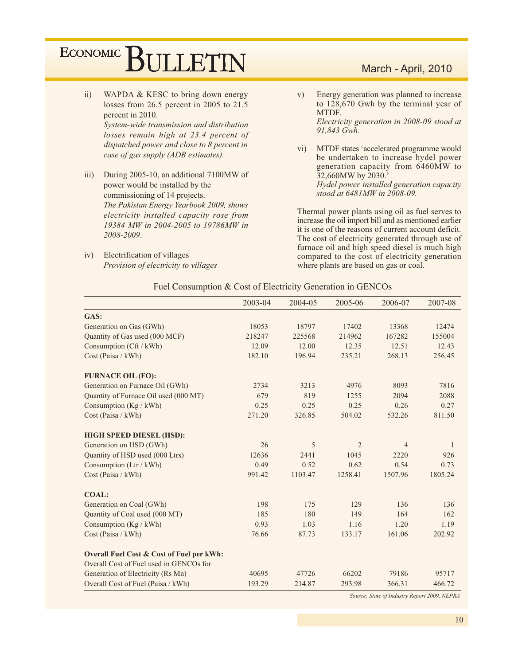- $\overline{11}$ ) WAPDA & KESC to bring down energy losses from 26.5 percent in 2005 to 21.5 percent in 2010. System-wide transmission and distribution losses remain high at 23.4 percent of dispatched power and close to  $8$  percent in case of gas supply (ADB estimates).
- $iii)$ During 2005-10, an additional 7100MW of power would be installed by the commissioning of 14 projects. The Pakistan Energy Yearbook 2009, shows electricity installed capacity rose from 19384 MW in 2004-2005 to 19786MW in 2008-2009.
- iv) Electrification of villages Provision of electricity to villages

#### March - April, 2010

- $V)$ Energy generation was planned to increase to 128,670 Gwh by the terminal year of MTDF. Electricity generation in 2008-09 stood at 91,843 Gwh.
- MTDF states 'accelerated programme would  $\overline{vi}$ ) be undertaken to increase hydel power generation capacity from 6460MW to 32,660MW by 2030.' Hydel power installed generation capacity stood at 6481MW in 2008-09.

Thermal power plants using oil as fuel serves to increase the oil import bill and as mentioned earlier it is one of the reasons of current account deficit. The cost of electricity generated through use of furnace oil and high speed diesel is much high compared to the cost of electricity generation where plants are based on gas or coal.

#### Fuel Consumption & Cost of Electricity Generation in GENCOs

|                                                      | 2003-04 | 2004-05 | 2005-06        | 2006-07        | 2007-08 |
|------------------------------------------------------|---------|---------|----------------|----------------|---------|
| GAS:                                                 |         |         |                |                |         |
| Generation on Gas (GWh)                              | 18053   | 18797   | 17402          | 13368          | 12474   |
| Quantity of Gas used (000 MCF)                       | 218247  | 225568  | 214962         | 167282         | 155004  |
| Consumption (Cft / kWh)                              | 12.09   | 12.00   | 12.35          | 12.51          | 12.43   |
| Cost (Paisa / kWh)                                   | 182.10  | 196.94  | 235.21         | 268.13         | 256.45  |
| <b>FURNACE OIL (FO):</b>                             |         |         |                |                |         |
| Generation on Furnace Oil (GWh)                      | 2734    | 3213    | 4976           | 8093           | 7816    |
| Quantity of Furnace Oil used (000 MT)                | 679     | 819     | 1255           | 2094           | 2088    |
| Consumption (Kg / kWh)                               | 0.25    | 0.25    | 0.25           | 0.26           | 0.27    |
| Cost (Paisa / kWh)                                   | 271.20  | 326.85  | 504.02         | 532.26         | 811.50  |
| <b>HIGH SPEED DIESEL (HSD):</b>                      |         |         |                |                |         |
| Generation on HSD (GWh)                              | 26      | 5       | $\overline{2}$ | $\overline{4}$ | 1       |
| Quantity of HSD used (000 Ltrs)                      | 12636   | 2441    | 1045           | 2220           | 926     |
| Consumption (Ltr / kWh)                              | 0.49    | 0.52    | 0.62           | 0.54           | 0.73    |
| Cost (Paisa / kWh)                                   | 991.42  | 1103.47 | 1258.41        | 1507.96        | 1805.24 |
| <b>COAL:</b>                                         |         |         |                |                |         |
| Generation on Coal (GWh)                             | 198     | 175     | 129            | 136            | 136     |
| Quantity of Coal used (000 MT)                       | 185     | 180     | 149            | 164            | 162     |
| Consumption $(Kg / kWh)$                             | 0.93    | 1.03    | 1.16           | 1.20           | 1.19    |
| Cost (Paisa / kWh)                                   | 76.66   | 87.73   | 133.17         | 161.06         | 202.92  |
| <b>Overall Fuel Cost &amp; Cost of Fuel per kWh:</b> |         |         |                |                |         |
| Overall Cost of Fuel used in GENCOs for              |         |         |                |                |         |
| Generation of Electricity (Rs Mn)                    | 40695   | 47726   | 66202          | 79186          | 95717   |
| Overall Cost of Fuel (Paisa / kWh)                   | 193.29  | 214.87  | 293.98         | 366.31         | 466.72  |

Source: State of Industry Report 2009, NEPRA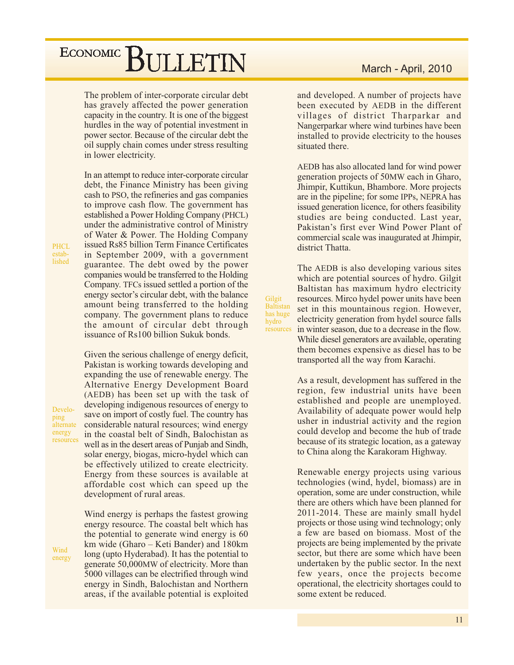The problem of inter-corporate circular debt has gravely affected the power generation capacity in the country. It is one of the biggest hurdles in the way of potential investment in power sector. Because of the circular debt the oil supply chain comes under stress resulting in lower electricity.

In an attempt to reduce inter-corporate circular debt, the Finance Ministry has been giving cash to PSO, the refineries and gas companies to improve cash flow. The government has established a Power Holding Company (PHCL) under the administrative control of Ministry of Water & Power. The Holding Company issued Rs85 billion Term Finance Certificates in September 2009, with a government guarantee. The debt owed by the power companies would be transferred to the Holding Company. TFCs issued settled a portion of the energy sector's circular debt, with the balance amount being transferred to the holding company. The government plans to reduce the amount of circular debt through issuance of Rs100 billion Sukuk bonds.

Given the serious challenge of energy deficit,

Pakistan is working towards developing and expanding the use of renewable energy. The Alternative Energy Development Board (AEDB) has been set up with the task of developing indigenous resources of energy to save on import of costly fuel. The country has considerable natural resources; wind energy in the coastal belt of Sindh, Balochistan as well as in the desert areas of Punjab and Sindh, solar energy, biogas, micro-hydel which can be effectively utilized to create electricity. Energy from these sources is available at affordable cost which can speed up the development of rural areas.

Wind energy is perhaps the fastest growing energy resource. The coastal belt which has the potential to generate wind energy is 60 km wide (Gharo – Keti Bander) and 180km long (upto Hyderabad). It has the potential to generate 50,000MW of electricity. More than 5000 villages can be electrified through wind energy in Sindh, Balochistan and Northern areas, if the available potential is exploited

and developed. A number of projects have been executed by AEDB in the different villages of district Tharparkar and Nangerparkar where wind turbines have been installed to provide electricity to the houses situated there.

AEDB has also allocated land for wind power generation projects of 50MW each in Gharo, Jhimpir, Kuttikun, Bhambore. More projects are in the pipeline; for some IPPs, NEPRA has issued generation licence, for others feasibility studies are being conducted. Last year, Pakistan's first ever Wind Power Plant of commercial scale was inaugurated at Jhimpir, district Thatta.

The AEDB is also developing various sites which are potential sources of hydro. Gilgit Baltistan has maximum hydro electricity resources. Mirco hydel power units have been set in this mountainous region. However, electricity generation from hydel source falls in winter season, due to a decrease in the flow. While diesel generators are available, operating them becomes expensive as diesel has to be transported all the way from Karachi.

Gilgit

hydro

Baltistan

has huge

resources

As a result, development has suffered in the region, few industrial units have been established and people are unemployed. Availability of adequate power would help usher in industrial activity and the region could develop and become the hub of trade because of its strategic location, as a gateway to China along the Karakoram Highway.

Renewable energy projects using various technologies (wind, hydel, biomass) are in operation, some are under construction, while there are others which have been planned for 2011-2014. These are mainly small hydel projects or those using wind technology; only a few are based on biomass. Most of the projects are being implemented by the private sector, but there are some which have been undertaken by the public sector. In the next few years, once the projects become operational, the electricity shortages could to some extent be reduced.

**PHCL** established

Developing alternate energy resources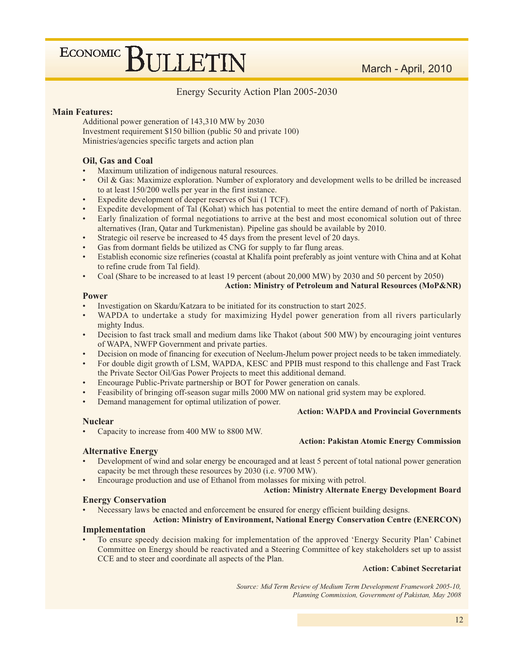#### Energy Security Action Plan 2005-2030

#### **Main Features:**

Additional power generation of 143,310 MW by 2030 Investment requirement \$150 billion (public 50 and private 100) Ministries/agencies specific targets and action plan

#### Oil, Gas and Coal

- Maximum utilization of indigenous natural resources.
- Oil & Gas: Maximize exploration. Number of exploratory and development wells to be drilled be increased to at least 150/200 wells per year in the first instance.
- Expedite development of deeper reserves of Sui (1 TCF).
- Expedite development of Tal (Kohat) which has potential to meet the entire demand of north of Pakistan.
- Early finalization of formal negotiations to arrive at the best and most economical solution out of three alternatives (Iran, Qatar and Turkmenistan). Pipeline gas should be available by 2010.
- Strategic oil reserve be increased to 45 days from the present level of 20 days.
- Gas from dormant fields be utilized as CNG for supply to far flung areas.
- Establish economic size refineries (coastal at Khalifa point preferably as joint venture with China and at Kohat to refine crude from Tal field).
- Coal (Share to be increased to at least 19 percent (about 20,000 MW) by 2030 and 50 percent by 2050)

**Action: Ministry of Petroleum and Natural Resources (MoP&NR)** 

#### **Power**

- Investigation on Skardu/Katzara to be initiated for its construction to start 2025.
- WAPDA to undertake a study for maximizing Hydel power generation from all rivers particularly mighty Indus.
- Decision to fast track small and medium dams like Thakot (about 500 MW) by encouraging joint ventures of WAPA, NWFP Government and private parties.
- Decision on mode of financing for execution of Neelum-Jhelum power project needs to be taken immediately.
- For double digit growth of LSM, WAPDA, KESC and PPIB must respond to this challenge and Fast Track the Private Sector Oil/Gas Power Projects to meet this additional demand.
- Encourage Public-Private partnership or BOT for Power generation on canals.
- Feasibility of bringing off-season sugar mills 2000 MW on national grid system may be explored.
- Demand management for optimal utilization of power.

#### **Nuclear**

Capacity to increase from 400 MW to 8800 MW.

#### **Alternative Energy**

- Development of wind and solar energy be encouraged and at least 5 percent of total national power generation capacity be met through these resources by 2030 (i.e. 9700 MW).
- Encourage production and use of Ethanol from molasses for mixing with petrol.

#### **Action: Ministry Alternate Energy Development Board**

**Action: WAPDA and Provincial Governments** 

**Action: Pakistan Atomic Energy Commission** 

#### **Energy Conservation**

Necessary laws be enacted and enforcement be ensured for energy efficient building designs.

#### **Action: Ministry of Environment, National Energy Conservation Centre (ENERCON)** Implementation

To ensure speedy decision making for implementation of the approved 'Energy Security Plan' Cabinet Committee on Energy should be reactivated and a Steering Committee of key stakeholders set up to assist CCE and to steer and coordinate all aspects of the Plan.

#### **Action: Cabinet Secretariat**

Source: Mid Term Review of Medium Term Development Framework 2005-10, Planning Commission, Government of Pakistan, May 2008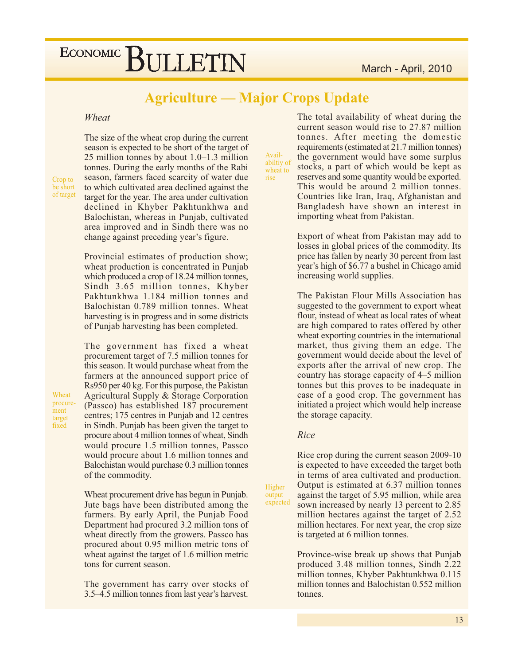### **Agriculture — Major Crops Update**

Avail-

rise

#### Wheat

Crop to be short of target

Wheat

ment

target fixed

procure-

The size of the wheat crop during the current season is expected to be short of the target of 25 million tonnes by about  $1.0-1.3$  million tonnes. During the early months of the Rabi season, farmers faced scarcity of water due to which cultivated area declined against the target for the year. The area under cultivation declined in Khyber Pakhtunkhwa and Balochistan, whereas in Punjab, cultivated area improved and in Sindh there was no change against preceding year's figure.

Provincial estimates of production show; wheat production is concentrated in Punjab which produced a crop of 18.24 million tonnes, Sindh 3.65 million tonnes, Khyber Pakhtunkhwa 1.184 million tonnes and Balochistan 0.789 million tonnes. Wheat harvesting is in progress and in some districts of Punjab harvesting has been completed.

The government has fixed a wheat procurement target of 7.5 million tonnes for this season. It would purchase wheat from the farmers at the announced support price of Rs950 per 40 kg. For this purpose, the Pakistan Agricultural Supply & Storage Corporation (Passco) has established 187 procurement centres; 175 centres in Punjab and 12 centres in Sindh. Punjab has been given the target to procure about 4 million tonnes of wheat, Sindh would procure 1.5 million tonnes, Passco would procure about 1.6 million tonnes and Balochistan would purchase 0.3 million tonnes of the commodity.

Wheat procurement drive has begun in Punjab. Jute bags have been distributed among the farmers. By early April, the Punjab Food Department had procured 3.2 million tons of wheat directly from the growers. Passco has procured about 0.95 million metric tons of wheat against the target of 1.6 million metric tons for current season.

The government has carry over stocks of 3.5–4.5 million tonnes from last year's harvest.

The total availability of wheat during the current season would rise to 27.87 million tonnes. After meeting the domestic requirements (estimated at 21.7 million tonnes) the government would have some surplus abiltiy of stocks, a part of which would be kept as wheat to reserves and some quantity would be exported. This would be around 2 million tonnes. Countries like Iran, Iraq, Afghanistan and Bangladesh have shown an interest in importing wheat from Pakistan.

> Export of wheat from Pakistan may add to losses in global prices of the commodity. Its price has fallen by nearly 30 percent from last year's high of \$6.77 a bushel in Chicago amid increasing world supplies.

> The Pakistan Flour Mills Association has suggested to the government to export wheat flour, instead of wheat as local rates of wheat are high compared to rates offered by other wheat exporting countries in the international market, thus giving them an edge. The government would decide about the level of exports after the arrival of new crop. The country has storage capacity of 4–5 million tonnes but this proves to be inadequate in case of a good crop. The government has initiated a project which would help increase the storage capacity.

#### Rice

Higher

output expected Rice crop during the current season 2009-10 is expected to have exceeded the target both in terms of area cultivated and production. Output is estimated at 6.37 million tonnes against the target of 5.95 million, while area sown increased by nearly 13 percent to 2.85 million hectares against the target of 2.52 million hectares. For next year, the crop size is targeted at 6 million tonnes.

Province-wise break up shows that Punjab produced 3.48 million tonnes, Sindh 2.22 million tonnes, Khyber Pakhtunkhwa 0.115 million tonnes and Balochistan 0.552 million tonnes.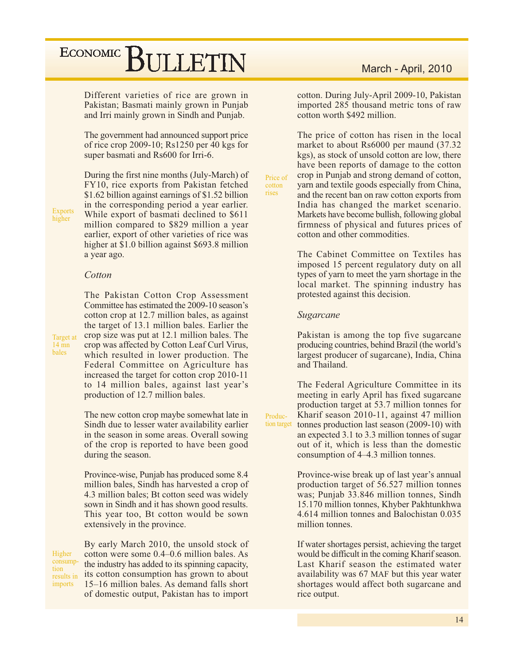Different varieties of rice are grown in Pakistan; Basmati mainly grown in Punjab and Irri mainly grown in Sindh and Punjab.

The government had announced support price of rice crop 2009-10; Rs1250 per 40 kgs for super basmati and Rs600 for Irri-6.

**Exports** higher

Target at

14 mn bales

During the first nine months (July-March) of FY10, rice exports from Pakistan fetched \$1.62 billion against earnings of \$1.52 billion in the corresponding period a year earlier. While export of basmati declined to \$611 million compared to \$829 million a year earlier, export of other varieties of rice was higher at \$1.0 billion against \$693.8 million a year ago.

#### Cotton

The Pakistan Cotton Crop Assessment Committee has estimated the 2009-10 season's cotton crop at 12.7 million bales, as against the target of 13.1 million bales. Earlier the crop size was put at 12.1 million bales. The crop was affected by Cotton Leaf Curl Virus, which resulted in lower production. The Federal Committee on Agriculture has increased the target for cotton crop 2010-11 to 14 million bales, against last year's production of 12.7 million bales.

The new cotton crop maybe somewhat late in Sindh due to lesser water availability earlier in the season in some areas. Overall sowing of the crop is reported to have been good during the season.

Province-wise, Punjab has produced some 8.4 million bales, Sindh has harvested a crop of 4.3 million bales; Bt cotton seed was widely sown in Sindh and it has shown good results. This year too, Bt cotton would be sown extensively in the province.

Higher consumption results in imports

By early March 2010, the unsold stock of cotton were some 0.4–0.6 million bales. As the industry has added to its spinning capacity, its cotton consumption has grown to about 15–16 million bales. As demand falls short of domestic output, Pakistan has to import

#### March - April, 2010

cotton. During July-April 2009-10, Pakistan imported 285 thousand metric tons of raw cotton worth \$492 million.

The price of cotton has risen in the local market to about Rs6000 per maund (37.32) kgs), as stock of unsold cotton are low, there have been reports of damage to the cotton crop in Punjab and strong demand of cotton, yarn and textile goods especially from China, and the recent ban on raw cotton exports from India has changed the market scenario. Markets have become bullish, following global firmness of physical and futures prices of cotton and other commodities.

The Cabinet Committee on Textiles has imposed 15 percent regulatory duty on all types of yarn to meet the yarn shortage in the local market. The spinning industry has protested against this decision.

#### Sugarcane

Price of

Produc-

cotton rises

> Pakistan is among the top five sugarcane producing countries, behind Brazil (the world's largest producer of sugarcane), India, China and Thailand.

The Federal Agriculture Committee in its meeting in early April has fixed sugarcane production target at 53.7 million tonnes for Kharif season 2010-11, against 47 million tion target tonnes production last season (2009-10) with an expected 3.1 to 3.3 million tonnes of sugar out of it, which is less than the domestic consumption of 4–4.3 million tonnes.

> Province-wise break up of last year's annual production target of  $\frac{56.527}{2}$  million tonnes was; Punjab 33.846 million tonnes, Sindh 15.170 million tonnes, Khyber Pakhtunkhwa 4.614 million tonnes and Balochistan 0.035 million tonnes

> If water shortages persist, achieving the target would be difficult in the coming Kharif season. Last Kharif season the estimated water availability was 67 MAF but this year water shortages would affect both sugarcane and rice output.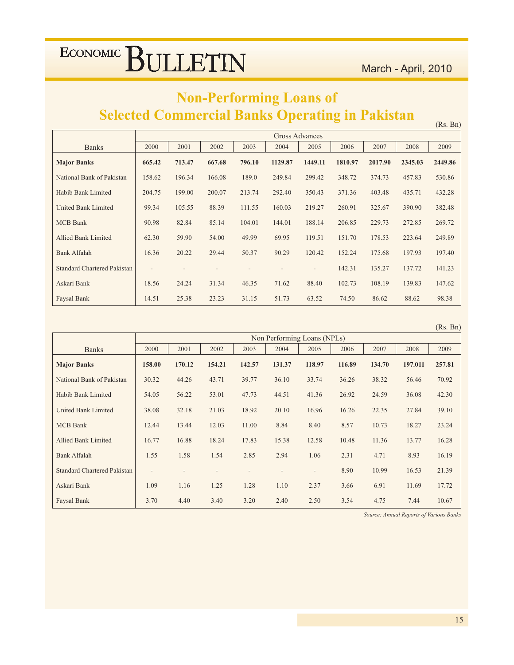$(Rs. Bn)$ 

### **Non-Performing Loans of Selected Commercial Banks Operating in Pakistan**

|                                    |        |        |        |        | Gross Advances |         |         |         |         |         |
|------------------------------------|--------|--------|--------|--------|----------------|---------|---------|---------|---------|---------|
| <b>Banks</b>                       | 2000   | 2001   | 2002   | 2003   | 2004           | 2005    | 2006    | 2007    | 2008    | 2009    |
| <b>Major Banks</b>                 | 665.42 | 713.47 | 667.68 | 796.10 | 1129.87        | 1449.11 | 1810.97 | 2017.90 | 2345.03 | 2449.86 |
| National Bank of Pakistan          | 158.62 | 196.34 | 166.08 | 189.0  | 249.84         | 299.42  | 348.72  | 374.73  | 457.83  | 530.86  |
| Habib Bank Limited                 | 204.75 | 199.00 | 200.07 | 213.74 | 292.40         | 350.43  | 371.36  | 403.48  | 435.71  | 432.28  |
| United Bank Limited                | 99.34  | 105.55 | 88.39  | 111.55 | 160.03         | 219.27  | 260.91  | 325.67  | 390.90  | 382.48  |
| <b>MCB</b> Bank                    | 90.98  | 82.84  | 85.14  | 104.01 | 144.01         | 188.14  | 206.85  | 229.73  | 272.85  | 269.72  |
| <b>Allied Bank Limited</b>         | 62.30  | 59.90  | 54.00  | 49.99  | 69.95          | 119.51  | 151.70  | 178.53  | 223.64  | 249.89  |
| <b>Bank Alfalah</b>                | 16.36  | 20.22  | 29.44  | 50.37  | 90.29          | 120.42  | 152.24  | 175.68  | 197.93  | 197.40  |
| <b>Standard Chartered Pakistan</b> | ٠      |        |        |        |                | ۰.      | 142.31  | 135.27  | 137.72  | 141.23  |
| Askari Bank                        | 18.56  | 24.24  | 31.34  | 46.35  | 71.62          | 88.40   | 102.73  | 108.19  | 139.83  | 147.62  |
| Faysal Bank                        | 14.51  | 25.38  | 23.23  | 31.15  | 51.73          | 63.52   | 74.50   | 86.62   | 88.62   | 98.38   |

|                                    |                          |        |        |        |                             |                          |        |        |         | (Rs. Bn) |
|------------------------------------|--------------------------|--------|--------|--------|-----------------------------|--------------------------|--------|--------|---------|----------|
|                                    |                          |        |        |        | Non Performing Loans (NPLs) |                          |        |        |         |          |
| <b>Banks</b>                       | 2000                     | 2001   | 2002   | 2003   | 2004                        | 2005                     | 2006   | 2007   | 2008    | 2009     |
| <b>Major Banks</b>                 | 158.00                   | 170.12 | 154.21 | 142.57 | 131.37                      | 118.97                   | 116.89 | 134.70 | 197.011 | 257.81   |
| National Bank of Pakistan          | 30.32                    | 44.26  | 43.71  | 39.77  | 36.10                       | 33.74                    | 36.26  | 38.32  | 56.46   | 70.92    |
| Habib Bank Limited                 | 54.05                    | 56.22  | 53.01  | 47.73  | 44.51                       | 41.36                    | 26.92  | 24.59  | 36.08   | 42.30    |
| <b>United Bank Limited</b>         | 38.08                    | 32.18  | 21.03  | 18.92  | 20.10                       | 16.96                    | 16.26  | 22.35  | 27.84   | 39.10    |
| <b>MCB</b> Bank                    | 12.44                    | 13.44  | 12.03  | 11.00  | 8.84                        | 8.40                     | 8.57   | 10.73  | 18.27   | 23.24    |
| Allied Bank Limited                | 16.77                    | 16.88  | 18.24  | 17.83  | 15.38                       | 12.58                    | 10.48  | 11.36  | 13.77   | 16.28    |
| <b>Bank Alfalah</b>                | 1.55                     | 1.58   | 1.54   | 2.85   | 2.94                        | 1.06                     | 2.31   | 4.71   | 8.93    | 16.19    |
| <b>Standard Chartered Pakistan</b> | $\overline{\phantom{a}}$ |        |        |        |                             | $\overline{\phantom{a}}$ | 8.90   | 10.99  | 16.53   | 21.39    |
| Askari Bank                        | 1.09                     | 1.16   | 1.25   | 1.28   | 1.10                        | 2.37                     | 3.66   | 6.91   | 11.69   | 17.72    |
| Faysal Bank                        | 3.70                     | 4.40   | 3.40   | 3.20   | 2.40                        | 2.50                     | 3.54   | 4.75   | 7.44    | 10.67    |

Source: Annual Reports of Various Banks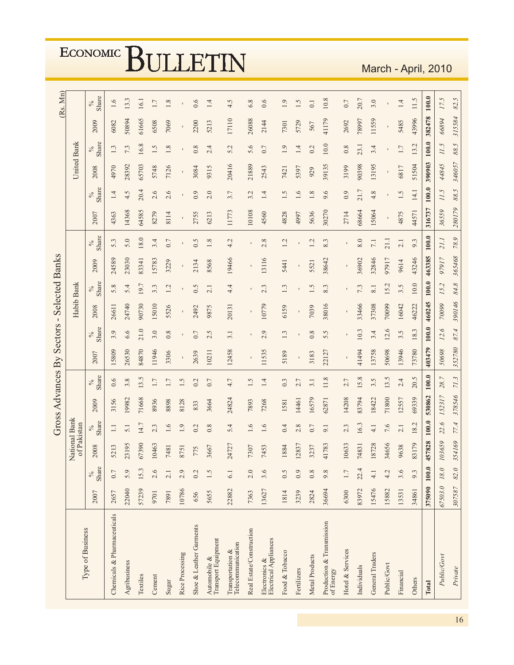|                                               |             |                      |                  |               |        |                           | Gross Advances By Sectors |                     | $\mathbf{I}$   |                  | <b>Selected Banks</b> |                     |        |               |                    |               |              | (Rs. Mn)      |
|-----------------------------------------------|-------------|----------------------|------------------|---------------|--------|---------------------------|---------------------------|---------------------|----------------|------------------|-----------------------|---------------------|--------|---------------|--------------------|---------------|--------------|---------------|
| Type of Business                              |             |                      | of Pakistan<br>∠ | ational Bank  |        |                           |                           |                     | Habib Bank     |                  |                       |                     |        |               | <b>United Bank</b> |               |              |               |
|                                               | 2007        | Share<br>$\delta_0'$ | 2008             | Share<br>$\%$ | 2009   | Share<br>$\delta_{\rm Q}$ | 2007                      | Share<br>$\delta_0$ | 2008           | Share            | 2009                  | Share<br>$\delta_0$ | 2007   | Share<br>$\%$ | 2008               | Share<br>$\%$ | 2009         | Share<br>$\%$ |
| Chemicals & Pharmaceuticals                   | 2657        | 0.7                  | 5213             | $\Box$        | 3156   | 0.6                       | 15809                     | 3.9                 | 26611          | 5.8              | 24589                 | 5.3                 | 4363   | 1.4           | 4970               | 1.3           | 6082         | 1.6           |
| Agribusiness                                  | 22040       | 5.9                  | 23195            | 5.1           | 19982  | 3.8                       | 26530                     | 6.6                 | 24740          | 5.4              | 23030                 | 5.0                 | 14368  | 4.5           | 28392              | 7.3           | 50894        | 13.3          |
| Textiles                                      | 57239       | 15.3                 | 67390            | 14.7          | 71668  | 13.5                      | 84870                     | 21.0                | 90730          | 19.7             | 83341                 | 18.0                | 64585  | 20.4          | 65703              | 16.8          | 61665        | 16.1          |
| Cement                                        | 9701        | 2.6                  | 0463             | 2.3           | 8936   | $1.7\,$                   | 11946                     | 3.0                 | 15010          | 3.3              | 15783                 | 3.4                 | 8279   | 2.6           | 5748               | 1.5           | 6508         | 1.7           |
| Sugar                                         | 7891        | 2.1                  | 7481             | 1.6           | 8898   | 1.7                       | 3306                      | 0.8                 | 5526           | 1.2              | 3229                  | 0.7                 | 8114   | 2.6           | 7126               | 1.8           | 7069         | 1.8           |
| Rice Processing                               | 10786       | 2.9                  | 8751             | 1.9           | 8128   | 1.5                       | $\mathbf{I}$              | $\mathbf I$         | $\blacksquare$ |                  |                       |                     |        | $\mathbf{I}$  | $\mathbf I$        |               | $\mathbf{I}$ |               |
| Shoe & Leather Garments                       | 656         | 0.2                  | 775              | 0.2           | 833    | 0.2                       | 2639                      | 0.7                 | 2492           | 0.5              | 2134                  | 0.5                 | 2755   | 0.9           | 3084               | 0.8           | 2200         | 0.6           |
| Automobile &<br>Transport Equipment           | 5655        | 1.5                  | 3667             | 0.8           | 3664   | 0.7                       | 10211                     | 2.5                 | 9875           | 2.1              | 8568                  | $1.8\,$             | 6213   | 2.0           | 9315               | 2.4           | 5213         | 1.4           |
| Telecommunication<br>Transportation &         | 22882       | 6.1                  | 14727            | 5.4           | 24824  | 4.7                       | 12458                     | 3.1                 | 20131          | 4.4              | 19466                 | 4.2                 | 11773  | 3.7           | 20416              | 5.2           | 17110        | 4.5           |
| Real Estate/Construction                      | 7363        | 2.0                  | 7307             | 1.6           | 7893   | 1.5                       | $\mathbf I$               |                     | $\mathbf I$    |                  |                       | $\mathbf{I}$        | 10108  | 3.2           | 21889              | 5.6           | 26088        | 6.8           |
| <b>Electrical Appliances</b><br>Electronics & | 13627       | 3.6                  | 7453             | 1.6           | 7268   | 1.4                       | 11535                     | 2.9                 | 10779          | 2.3              | 13116                 | 2.8                 | 4560   | 1.4           | 2543               | 0.7           | 2144         | 0.6           |
| Food & Tobacco                                | 1814        | 0.5                  | 1884             | 0.4           | 1581   | 0.3                       | 5189                      | 1.3                 | 6159           | 1.3              | 5441                  | 1.2                 | 4828   | 1.5           | 7421               | 1.9           | 7301         | 1.9           |
| Fertilizers                                   | 3239        | 0.9                  | 2837             | 2.8           | 14461  | 2.7                       |                           |                     |                |                  |                       |                     | 4997   | 1.6           | 5397               | 1.4           | 5729         | 1.5           |
| Metal Products                                | 2824        | 0.8                  | 3237             | 0.7           | 16579  | 3.1                       | 3183                      | 0.8                 | 7039           | 1.5              | 5521                  | 1.2                 | 5636   | 1.8           | 929                | 0.2           | 567          | 0.1           |
| Production & Transmission<br>of Energy        | 36694       | 9.8                  | 41783            | 9.1           | 62871  | 11.8                      | 22127                     | 5.5                 | 38016          | 8.3              | 38642                 | 8.3                 | 30270  | 9.6           | 39135              | $10.0$        | 41179        | 10.8          |
| Hotel & Services                              | 6300        | 1.7                  | 0633             | 2.3           | 14208  | 2.7                       |                           |                     |                |                  |                       |                     | 2714   | 0.9           | 3199               | 0.8           | 2692         | 0.7           |
| Individuals                                   | 83972       | 22.4                 | 14831            | 16.3          | 83794  | 15.8                      | 41494                     | 10.3                | 33466          | 7.3              | 36902                 | 8.0                 | 68664  | 21.7          | 90398              | 23.1          | 78997        | 20.7          |
| General Traders                               | 15476       | $\frac{1}{4}$        | 8728             | 4.1           | 18422  | 3.5                       | 13758                     | 3.4                 | 37308          | 8.1              | 32846                 | $7.1\,$             | 15064  | 4.8           | 13195              | 3.4           | 11559        | 3.0           |
| Public/Govt                                   | 15882       | 4.2                  | \$4656           | 7.6           | 71800  | 13.5                      | 50698                     | 12.6                | 70099          | 15.2             | 97917                 | 21.1                |        |               |                    |               |              |               |
| Financial                                     | 13531       | 3.6                  | 9638             | 2.1           | 12557  | 2.4                       | 13946                     | 3.5                 | 16042          | $3.\overline{5}$ | 9614                  | 2.1                 | 4875   | 1.5           | 6817               | 1.7           | 5485         | 1.4           |
| Others                                        | 34861       | 9.3                  | 83179            | 18.2          | 69339  | 20.5                      | 73780                     | 18.3                | 46222          | $10.0$           | 43246                 | 9.3                 | 44571  | 14.1          | 51504              | 13.2          | 43996        | 11.5          |
| Total                                         | 375090      | $100.0$              | 457828           | 100.0         | 530862 | 100.0                     | 403479                    | 100.0               | 460245         | 100.0            | 463385                | 100.0               | 316737 | 100.0         | 390903             | 100.0         | 382478       | 100.0         |
| Public/Govt                                   | 67503.0     | $18.0\,$             | 103659           | 22.6          | 152317 | 28.7                      | 50698                     | 12.6                | 70099          | 15.2             | 97917                 | 21.1                | 36559  | 11.5          | 44845              | 11.5          | 66894        | 17.5          |
| Private                                       | 307587 82.0 |                      | 354169           | 77.4          | 378546 | 71.3                      | 352780                    | 87.4                | 390146         | $84.8\,$         | 365468                | $78.9$              | 280179 | 88.5          | 346057             | 88.5          | 315584       | 82.5          |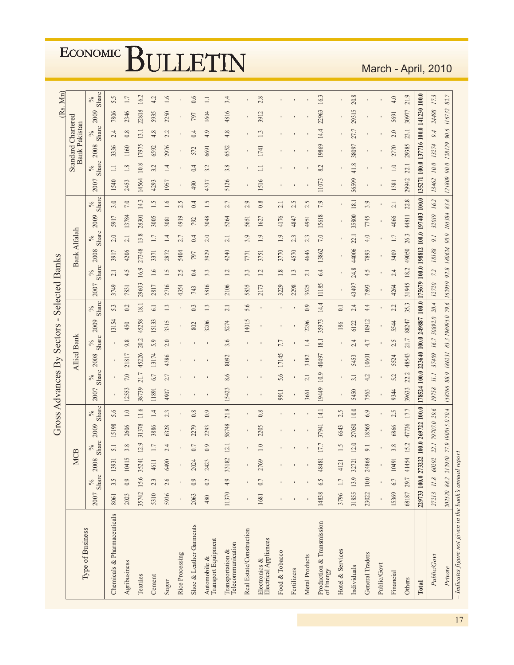|                                                          |                                       |               |            |                      | <b>Gross</b>       |               | <b>Advances By Sectors</b> |               |                    |               | $\mathsf I$                                                                   |                  | Selected Banks |               |                     |                  |       |                      |                                  |               |                                                   |         | (Rs.  | Mn            |
|----------------------------------------------------------|---------------------------------------|---------------|------------|----------------------|--------------------|---------------|----------------------------|---------------|--------------------|---------------|-------------------------------------------------------------------------------|------------------|----------------|---------------|---------------------|------------------|-------|----------------------|----------------------------------|---------------|---------------------------------------------------|---------|-------|---------------|
|                                                          |                                       |               | <b>MCB</b> |                      |                    |               |                            |               | <b>Allied Bank</b> |               |                                                                               |                  |                |               | <b>Bank Alfalah</b> |                  |       |                      |                                  |               | <b>Standard Chartered</b><br><b>Bank Pakistan</b> |         |       |               |
| Type of Business                                         | 2007                                  | Share<br>$\%$ | 2008       | Share<br>$\delta_0'$ | 2009               | Share<br>$\%$ | 2007                       | Share<br>$\%$ | 2008               | Share<br>$\%$ | 2009                                                                          | Share<br>$\%$    | 2007           | Share<br>$\%$ | 2008                | Share            | 2009  | Share<br>$\delta_0'$ | 2007                             | Share<br>$\%$ | 2008                                              | Share   | 2009  | Share<br>$\%$ |
| Chemicals & Pharmaceuticals                              | 8061                                  | 3.5           | 1393       | 5.1                  | 15198              | 5.6           |                            |               |                    |               | 13154                                                                         | 53               | 3749           | 2.1           | 3917                | $2.0\,$          | 5917  | 3.0                  | 1540                             | $\equiv$      | 3336                                              | 2.4     | 7806  | 5.5           |
| Agribusiness                                             | 2023                                  | 0.9           | 10415      | 3.8                  | 2606               | $1.0\,$       | 12553                      | 7.0           | 21817              | 9.8           | 450                                                                           | 0.2              | 7831           | 4.5           | 4206                | 2.1              | 13784 | $7.0\,$              | 2453                             | $1.8\,$       | 1160                                              | 0.8     | 2346  | 1.7           |
| Textiles                                                 | 35742                                 | 15.6          | 3524       | 12.9                 | 31378              | 11.6          | 38739                      | 21.7          | 45226              | 20.2          | 45258                                                                         | $18.1\,$         | 29603          | 16.9          | 27348               | 13.8             | 28301 | 14.3                 | 14564                            | 10.8          | 17975                                             | 13.1    | 22818 | 16.2          |
| Cement                                                   | 5310                                  | 2.3           | 461        | 1.7                  | 3886               | 1.4           | 11891                      | 6.7           | 13174              | 5.9           | 15133                                                                         | 6.1              | 2817           | 1.6           | 3371                | 1.7              | 3005  | 1.5                  | 4293                             | 3.2           | 6592                                              | 4.8     | 5935  | 4.2           |
| Sugar                                                    | 5936                                  | 2.6           | 6490       | 2.4                  | 6328               | 2.3           | 4907                       | 2.7           | 4386               | 2.0           | 3315                                                                          | 1.3              | 2716           | 1.5           | 2872                | 1.4              | 3081  | 1.6                  | 1957                             | 1.4           | 2976                                              | 2.2     | 2250  | 1.6           |
| Rice Processing                                          |                                       |               |            |                      |                    |               |                            |               |                    |               | ٠                                                                             | $\blacksquare$   | 4354           | 2.5           | 5404                | 2.7              | 4919  | 2.5                  |                                  |               |                                                   |         |       |               |
| Shoe & Leather Garments                                  | 2063                                  | 0.9           | 2024       | 0.7                  | 2279               | 0.8           |                            |               |                    |               | 802                                                                           | 0.3              | 743            | 0.4           | 797                 | 0.4              | 792   | 0.4                  | 490                              | 0.4           | 572                                               | 0.4     | 797   | 0.6           |
| Automobile &<br>Transport Equipment                      | 480                                   | 0.2           | 2423       | 0.9                  | 2293               | 0.9           |                            |               |                    |               | 3206                                                                          | 1.3              | 5816           | 3.3           | 3929                | 2.0              | 3048  | 1.5                  | 4337                             | 3.2           | 6691                                              | 4.9     | 1604  | $\Box$        |
| Telecommunication<br>Transportation &                    | 11370                                 | 4.9           | 33182      | 12.1                 | 58748              | 21.8          | 15423                      | 8.6           | 8092               | 3.6           | 5274                                                                          | 2.1              | 2106           | 1.2           | 4240                | 2.1              | 5264  | 2.7                  | 5126                             | 3.8           | 6552                                              | $4.8\,$ | 4816  | 3.4           |
| Real Estate/Construction                                 |                                       |               |            |                      |                    |               |                            |               |                    |               | 14015                                                                         | 5.6              | 5835           | 3.3           | 771                 | 3.9              | 5651  | 2.9                  |                                  |               |                                                   |         |       |               |
| ${\rm Electronics~\&}\\ {\rm Electrical~Applications}\\$ | 1681                                  | 0.7           | 2769       | 1.0                  | 2205               | 0.8           |                            |               |                    |               |                                                                               |                  | 2173           | 12            | 3751                | 1.9              | 1627  | 0.8                  | 1516                             | $\Xi$         | 1741                                              | 1.3     | 3912  | 2.8           |
| Food & Tobacco                                           |                                       |               |            |                      |                    |               | 9911                       | 5.6           | 17145              | 7.7           |                                                                               |                  | 3229           | 1.8           | 3770                | 1.9              | 4176  | 2.1                  |                                  |               |                                                   |         |       |               |
| Fertilizers                                              |                                       |               |            |                      |                    |               | $\blacksquare$             |               |                    |               |                                                                               |                  | 2298           | 1.3           | 4570                | 2.3              | 4847  | 2.5                  |                                  |               |                                                   |         |       |               |
| Metal Products                                           |                                       |               |            |                      |                    |               | 3661                       | 2.1           | 3182               | 1.4           | 2296                                                                          | 0.9              | 3625           | 2.1           | 4646                | 2.3              | 4951  | 2.5                  |                                  |               |                                                   |         |       |               |
| Production & Transmission<br>of Energy                   | 14838                                 | 6.5           | 4848       | 17.7                 | 37941              | 14.1          | 19449                      | 10.9          | 40497              | $18.1\,$      | 35973                                                                         | 14.4             | 11185          | 6.4           | 13862               | $7.0\,$          | 15618 | 7.9                  | 11073                            | 8.2           | 19869                                             | 14.4    | 22963 | 16.3          |
| Hotel & Services                                         | 3796                                  | 1.7           | 412        | 1.5                  | 6643               | 2.5           |                            |               |                    |               | 186                                                                           | $\overline{0}$ . |                |               |                     |                  |       |                      |                                  |               |                                                   |         |       |               |
| Individuals                                              | 31855                                 | 13.9          | 32721      | 12.0                 | 27050              | $10.0$        | 5450                       | 3.1           | 5453               | 2.4           | 6122                                                                          | 2.4              | 43497          | 24.8          | 44006               | 22.1             | 35800 | 18.1                 | 56599                            | 41.8          | 38097                                             | 27.7    | 29315 | 20.8          |
| General Traders                                          | 23022                                 | 10.0          | 24868      | 9.1                  | 18565              | 6.9           | 7563                       | 4.2           | 10601              | 4.7           | 10912                                                                         | 4.4              | 7893           | 4.5           | 7893                | 4.0              | 7745  | 3.9                  |                                  |               |                                                   |         |       |               |
| Public/Govt                                              |                                       |               |            |                      |                    |               |                            |               |                    |               | $\blacksquare$                                                                | $\blacksquare$   |                |               | $\blacksquare$      |                  | ı     |                      |                                  |               |                                                   |         |       |               |
| Financial                                                | 15369                                 | 6.7           | 10491      | 3.8                  | 6866               | 2.5           | 9344                       | 5.2           | 5524               | 2.5           | 5544                                                                          | 2.2              | 4264           | 2.4           | 3409                | $\overline{1.7}$ | 4066  | 2.1                  | 1381                             | 1.0           | 2770                                              | 2.0     | 5691  | 4.0           |
| Others                                                   | 68187                                 | 29.7          | 41454      | 15.2                 | 47736              | 17.7          | 39633                      | 22.2          | 48543              | 21.7          | 88247                                                                         | 35.3             | 31945          | 18.2          | 49050               | 26.3             | 44811 | 22.8                 | 29942                            | 22.1          | 29385                                             | 23.1    | 30977 | 21.9          |
| Total                                                    | 229733 100.0 27322                    |               | 22         |                      | 100.0 269722 100.0 |               |                            |               |                    |               | 178524 100.0 223640 100.0 249887 100.0 175679 100.0 198812 100.0 197403 100.0 |                  |                |               |                     |                  |       |                      | 135271 100.0 137716 100.0 141230 |               |                                                   |         |       | 100.0         |
| Public/Govt                                              | 27213 11.8                            |               | 60292      |                      | 22.1 79707.0 29.6  |               | 19758                      | II.I          | 37409              |               | 16.7 50892.0 20.4                                                             |                  | 12720          | 7.2           | $18188\,$           | $\overline{0}$   | 32019 | 16.2                 | 13462                            | $10.0\,$      | 13274                                             | 9.4     | 24498 | 17.3          |
| Private                                                  | 202520 88.2 212930 77.9 190015.0 70.4 |               |            |                      |                    |               |                            |               | 158766 88.9 186231 |               | 83.3 198995.0 79.6 162959 92.8 180624 90.9 165384 83.8                        |                  |                |               |                     |                  |       |                      | 121809                           |               | 90.0 128129 90.6 116732                           |         |       | 82.7          |
| $-$ Indicates figure not given in the bank's annual rep  |                                       |               |            |                      |                    |               |                            |               |                    |               |                                                                               |                  |                |               |                     |                  |       |                      |                                  |               |                                                   |         |       |               |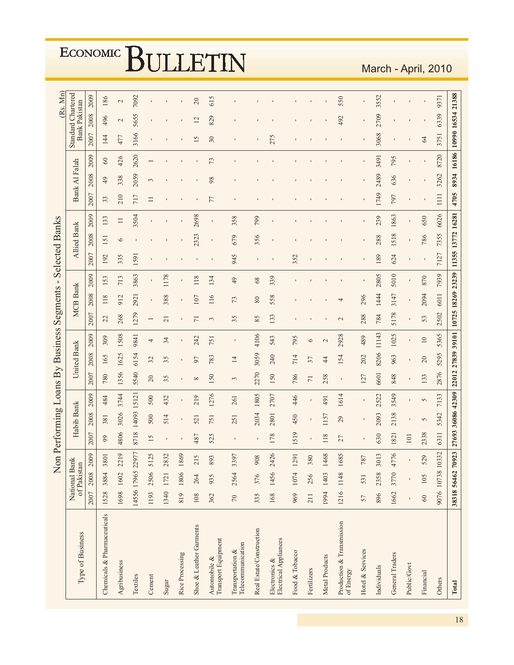|                                                                                       |        |             | Non                   | Performing Loans By Business Segments |                                                     |                   |                   |                 |                 |                   |                 | $\blacksquare$ | <b>Selected Banks</b> |                    |        |      |               |                              |                           |                      | (Rs. Mn)      |
|---------------------------------------------------------------------------------------|--------|-------------|-----------------------|---------------------------------------|-----------------------------------------------------|-------------------|-------------------|-----------------|-----------------|-------------------|-----------------|----------------|-----------------------|--------------------|--------|------|---------------|------------------------------|---------------------------|----------------------|---------------|
| Type of Business                                                                      |        | of Pakistan | National Bank         |                                       | Habib Bank                                          |                   |                   | United Bank     |                 |                   | <b>MCB Bank</b> |                |                       | <b>Allied Bank</b> |        |      | Bank Al Falah |                              | <b>Standard Chartered</b> | <b>Bank Pakistan</b> |               |
|                                                                                       | 2007   | 2008        | 2009                  | 2007                                  | 2008                                                | 2009              | 2007              | 2008            | 2009            | 2007              | 2008            | 2009           | 2007                  | 2008               | 2009   | 2007 | 2008          | 2009                         | 2007                      | 2008                 | 2009          |
| Chemicals & Pharmaceuticals                                                           | 1528   | 3884        | 3801                  | 99                                    | 381                                                 | 484               | 780               | 165             | 309             | 22                | 118             | 153            | 192                   | 151                | 133    | 33   | 49            | 60                           | 144                       | 496                  | 186           |
| Agribusiness                                                                          |        |             | 1698 1602 2219        | 4806                                  | 3026                                                | 3744              | 1356              | 1625            | 1508            | 268               | 912             | 713            | 335                   | $\circ$            | $\Box$ | 210  | 338           | 426                          | 477                       | $\sim$               | $\mathcal{L}$ |
| Textiles                                                                              |        |             | 14556 17965 22977     | 8718                                  | 14093                                               | 15121             | 5540              | 6154            | 9841            | 1279              | 2921            | 3863           | 1591                  |                    | 3504   | 717  | 2059          | 2620                         | 3166                      | 5655                 | 7092          |
| Cement                                                                                | 1193   | 2506        | 5125                  | 15                                    | 500                                                 | 500               | $20\,$            | 32              | 4               |                   |                 |                |                       |                    |        |      | $\tilde{\xi}$ |                              |                           |                      |               |
| Sugar                                                                                 | 1340   | 1721        | 2832                  |                                       | 514                                                 | 432               | 35                | 35              | 34              | $\overline{21}$   | 388             | 1178           |                       |                    |        |      |               |                              |                           |                      |               |
| Rice Processing                                                                       | 819    |             | 1806 1869             |                                       | $\begin{array}{c} \rule{0.2cm}{0.15mm} \end{array}$ |                   |                   | $\blacksquare$  |                 |                   |                 |                |                       |                    |        |      |               |                              |                           |                      |               |
| Shoe & Leather Garments                                                               | 108    | 264         | 215                   | 487                                   | 521                                                 | 219               | $\infty$          | 50              | 242             | $\overline{7}$    | 107             | 118            |                       | 2323               | 2698   |      |               |                              | $\overline{15}$           | 12                   | 20            |
| $\begin{array}{l} \mbox{Automobile & \bf \&\\ \mbox{Transport Equipment} \end{array}$ | 362    | 935         | 893                   | 525                                   | 751                                                 | 1276              | 150               | 783             | 751             | 3                 | 116             | 134            |                       |                    |        |      | 98            | 73                           | 30                        | 829                  | 615           |
| Telecommunication<br>Transportation &                                                 | $70\,$ | 2564        | $\overline{ }$<br>339 |                                       | 251                                                 | 261               | 3                 | $\overline{14}$ | $\mathbf I$     | 35                | 73              | 49             | 945                   | 679                | 358    |      |               |                              |                           |                      |               |
| Real Estate/Construction                                                              | 335    | 376         | 908                   |                                       | 2034                                                | 1805              | 2270              | 3059            | 4106            | 85                | $\rm 80$        | 68             | ı                     | 356                | 799    |      |               |                              |                           |                      |               |
| <b>Electrical Appliances</b><br>Electronics &                                         | 168    | 1456        | 2426                  | 178                                   | 2801                                                | 2707              | 150               | 240             | 543             | 133               | 558             | 339            |                       |                    |        |      |               |                              | 275                       |                      |               |
| Food & Tobacco                                                                        | 969    |             | 1074 1291             | 519                                   | 450                                                 | 446               | 786               | 714             | 795             |                   |                 |                | 352                   |                    |        |      |               |                              |                           |                      |               |
| Fertilizers                                                                           | 211    | 256         | 380                   |                                       |                                                     |                   | $\overline{7}$    | 37              | $\circ$         |                   |                 |                |                       |                    |        |      |               |                              |                           |                      |               |
| Metal Products                                                                        | 1994   | 1403        | $\infty$<br>146       | 118                                   | 1157                                                | 491               | 258               | $\ddot{4}$      | 2               |                   |                 |                |                       |                    |        |      |               |                              |                           |                      |               |
| Production & Transmission<br>of Energy                                                | 1216   | 1148        | 1685                  | 27                                    | 29                                                  | 1614              |                   | 154             | 2928            | $\mathbf{C}$      | 4               |                |                       |                    |        |      |               |                              |                           | 492                  | 550           |
| Hotel & Services                                                                      | 57     | 531         | 787                   |                                       |                                                     |                   | 127               | 202             | 489             | 288               | 296             |                |                       |                    |        |      |               |                              |                           |                      | ı             |
| Individuals                                                                           | 896    | 2358        | 3013                  | 630                                   | 2093                                                | 2522              | 6601              | 8206            | 11143           | 784               | 1444            | 2805           | 189                   | 288                | 239    | 1749 | 2489          | 3491                         | 3068                      | 2709                 | 3552          |
| General Traders                                                                       | 1662   |             | 3770 4776             | 1821                                  | 2138                                                | 3549              | 848               | 963             | 1025            | 5178              | 3147            | 5010           | 624                   | 1518               | 1863   | 797  | 636           | 795                          |                           |                      |               |
| Public/Govt                                                                           |        |             |                       | 101                                   | $\blacksquare$                                      |                   |                   |                 | $\blacksquare$  |                   |                 |                |                       |                    |        |      |               |                              |                           |                      |               |
| Financial                                                                             | $60\,$ | 105         | 529                   | 2338                                  | 5                                                   | $\overline{5}$    | 133               | 20              | $\overline{10}$ | 53                | 2094            | 870            |                       | 786                | 650    |      |               |                              | 64                        |                      |               |
| Others                                                                                |        |             | 9076 10738 10332      | 6311                                  | 5342                                                | 7133              | 2876              | 5295            | 5365            | 2502              | 6011            | 7939           | 7127                  | 7355               | 6026   | 1111 | 3262          | 8720                         | 3751                      | 6339                 | 9371          |
| Total                                                                                 |        |             | 38318 56462 70923     |                                       |                                                     | 27693 36086 42309 | 22012 27839 39101 |                 |                 | 10725 18269 23239 |                 |                | 11355 13772 16281     |                    |        | 4705 |               | 8934 16186 10990 16534 21388 |                           |                      |               |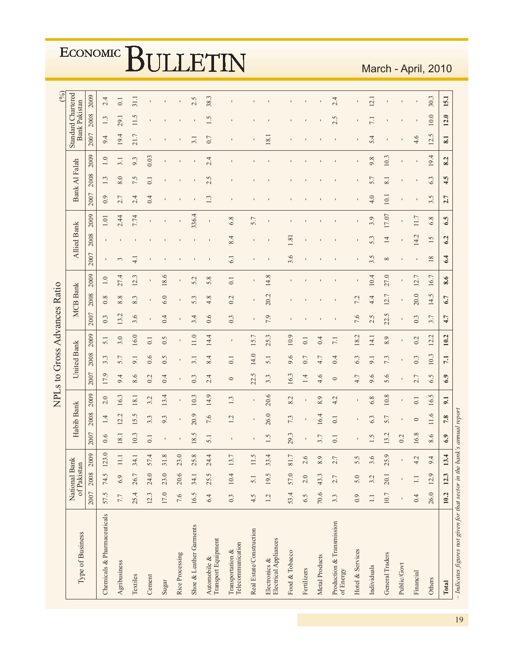|                                                                             |        |             |                               |                |                |       |         |                    | NPLs to Gross Advances Ratio |                                |                 |      |          |                    |             |                          |               |          |                           |                      | $\binom{6}{0}$  |
|-----------------------------------------------------------------------------|--------|-------------|-------------------------------|----------------|----------------|-------|---------|--------------------|------------------------------|--------------------------------|-----------------|------|----------|--------------------|-------------|--------------------------|---------------|----------|---------------------------|----------------------|-----------------|
| Type of Business                                                            |        | of Pakistan | National Bank                 |                | Habib Bank     |       |         | <b>United Bank</b> |                              |                                | <b>MCB Bank</b> |      |          | <b>Allied Bank</b> |             |                          | Bank Al Falah |          | <b>Standard Chartered</b> | <b>Bank Pakistan</b> |                 |
|                                                                             | 2007   | 2008        | 2009                          | 2007           | 2008           | 2009  | 2007    | 2008               | 2009                         | 2007                           | 2008            | 2009 | 2007     | 2008               | 2009        | 2007                     | 2008          | 2009     | 2007                      | 2008                 | 2009            |
| Chemicals & Pharmaceuticals                                                 | 57.5   | 74.5        | Q<br>3<br>$\overline{12}$     | 0.6            | 1.4            | 2.0   | 17.9    | 3.3                | 5.1                          | 0.3                            | 0.8             | 1.0  |          |                    | $1.01\,$    | 0.9                      | 1.3           | 1.0      | 9.4                       | 1.3                  | 2.4             |
| Agribusiness                                                                | 7.7    | 6.9         | -:<br>$\Box$                  | 18.1           | ÿ<br>12.       | 16.3  | 9.4     | 5.7                | 3.0                          | 13.2                           | 8.8             | 27.4 | $\sim$   |                    | 2.44        | $\overline{ }$<br>$\sim$ | 8.0           | 3.1      | 19.4                      | 29.1                 | 0.1             |
| Textiles                                                                    | 25.4   | 26.7        | 34                            | 10.3           | 15.5           | 18.1  | 8.6     | 9.1                | 16.0                         | 3.6                            | 8.3             | 12.3 |          |                    | 7.74        | 4<br>$\sim$              | 7.5           | 9.3      | 21.7                      | 11.5                 | $\frac{11}{11}$ |
| Cement                                                                      | 12.3   | 24.0        | 4<br>57                       | 0.1            | 3.3            | 3.2   | 0.2     | 0.6                | 0.1                          |                                |                 |      |          |                    |             | 0.4                      | 0.1           | 0.03     |                           |                      |                 |
| Sugar                                                                       | 17.0   | 23.0        | $\infty$<br>$\overline{31}$   | $\mathbf I$    | 9.3            | 13.4  | 0.4     | 0.5                | 0.5                          | 0.4                            | 6.0             | 18.6 |          |                    |             |                          |               |          |                           |                      |                 |
| Rice Processing                                                             | 7.6    | 20.6        | $\circ$<br>23                 |                | $\blacksquare$ |       |         |                    |                              | $\blacksquare$                 | $\blacksquare$  |      |          |                    |             |                          |               |          |                           |                      |                 |
| Shoe & Leather Garments                                                     | 16.5   | 34.1        | $\infty$<br>25                | 18.5           | 20.9           | 10.3  | 0.3     | 3.1                | 11.0                         | 3.4                            | 5.3             | 5.2  |          |                    | 336.4       |                          |               |          | $\ddot{\phantom{1}}$      |                      | 2.5             |
| Transport Equipment<br>Automobile &                                         | 6.4    | 25.5        | 4<br>$\overline{c}$           | 5.1            | 7.6            | 14.9  | 2.4     | 4.<br>$\infty$     | 14.4                         | 0.6                            | 4.8             | 5.8  |          |                    | $\mathbf I$ | 1.3                      | 5<br>$\sim$   | 2.4      | 0.7                       | r.                   | 38.3            |
| Telecommunication<br>Transportation &                                       | 0.3    | 10.4        | 7<br>13                       |                | 1.2            | 1.3   | $\circ$ | 0.1                | $\blacksquare$               | 0.3                            | 0.2             | 0.1  | 6.1      | 8.4                | 6.8         |                          |               |          |                           |                      |                 |
| Real Estate/Construction                                                    | 4.5    | 5.1         | S.<br>$\Box$                  |                |                |       | 22.5    | 14.0               | 15.7                         |                                |                 |      |          |                    | 5.7         |                          |               |          |                           |                      |                 |
| Electrical Appliances<br>Electronics &                                      | 1.2    | 19.5        | 4.<br>33                      | 1.5            | 26.0           | 20.6  | 3.3     | 5.1                | 25.3                         | 7.9                            | 20.2            | 14.8 |          |                    |             |                          |               |          | 18.1                      |                      |                 |
| Food & Tobacco                                                              | 53.4   | 57.0        | L.<br>$\rm 81$                | 29.3           | 7.3            | 8.2   | 16.3    | 9.6                | 10.9                         |                                |                 |      | 3.6      | 1.81               |             |                          |               |          |                           |                      |                 |
| Fertilizers                                                                 | 6.5    | 2.0         | $\circ$<br>2                  | $\blacksquare$ |                |       | 1.4     | 0.7                | $\overline{0}$               |                                |                 |      |          |                    |             |                          |               |          |                           |                      |                 |
| Metal Products                                                              | 70.6   | 43.3        | $\sigma$<br>$^{\circ}$        | 3.7            | 16.4           | 8.9   | 4.6     | 4.7                | 0.4                          |                                |                 |      |          |                    |             |                          |               |          |                           |                      |                 |
| Production & Transmission<br>of Energy                                      | 3.3    | 2.7         | $\sim$                        | $\overline{0}$ | 0.1            | 4.2   | $\circ$ | 0.4                | 7.1                          |                                |                 |      |          |                    |             |                          |               |          |                           | Č.<br>$\mathbf{c}$   | 2.4             |
| Hotel & Services                                                            | 0.9    | 5.0         | 5<br>5                        |                |                |       | 4.7     | 6.3                | 18.2                         | 7.6                            | Lj.<br>L.       |      |          |                    |             |                          |               |          |                           |                      |                 |
| Individuals                                                                 | $\Box$ | 3.2         | $\circ$<br>3                  | 1.5            | 6.3            | $6.8$ | 9.6     | 9.1                | 14.1                         | J.<br>$\overline{\mathcal{C}}$ | 4.4             | 10.4 | 3.5      | 5.3                | 3.9         | 4.0                      | 5.7           | 9.8      | 5.4                       | $\overline{11}$      | 12.1            |
| General Traders                                                             | 10.7   | 20.1        | 0.<br>25                      | 13.2           | 5.7            | 10.8  | 5.6     | 7.3                | 8.9                          | r.<br>22.                      | 12.7            | 27.0 | $\infty$ | $\overline{4}$     | 17.07       | 10.1                     | 8.1           | 10.3     |                           |                      |                 |
| Public/Govt                                                                 |        |             |                               | 0.2            |                |       |         |                    |                              |                                |                 |      |          |                    |             |                          |               |          |                           |                      |                 |
| Financial                                                                   | 0.4    | $\Box$      | L,<br>4                       | 16.8           | $\circ$        | 0.1   | 2.7     | 0.3                | 0.2                          | 0.3                            | 20.0            | 12.7 |          | 14.2               | 11.7        |                          |               |          | 4.6                       |                      |                 |
| Others                                                                      | 26.0   | 12.9        | 4<br>$\circ$                  | 8.6            | 11.6           | 16.5  | 6.5     | 10.3               | 12.2                         | 3.7                            | 14.5            | 16.7 | 18       | 15                 | 6.8         | 3.5                      | 6.3           | 4<br>19. | S.<br>12.                 | 10.0                 | 30.3            |
| Total                                                                       | 10.2   | 12.3        | $\ddot{a}$<br>$\overline{13}$ | 6.9            | 7.8            | 9.1   | 6.9     | 7.1                | 10.2                         | 4.7                            | 6.7             | 8.6  | 6.4      | 6.2                | 6.5         | 2.7                      | 4.5           | 8.2      | 8.1                       | 12.0                 | 15.1            |
| $-$ Indicates figures not given for that sector in the bank's annual report |        |             |                               |                |                |       |         |                    |                              |                                |                 |      |          |                    |             |                          |               |          |                           |                      |                 |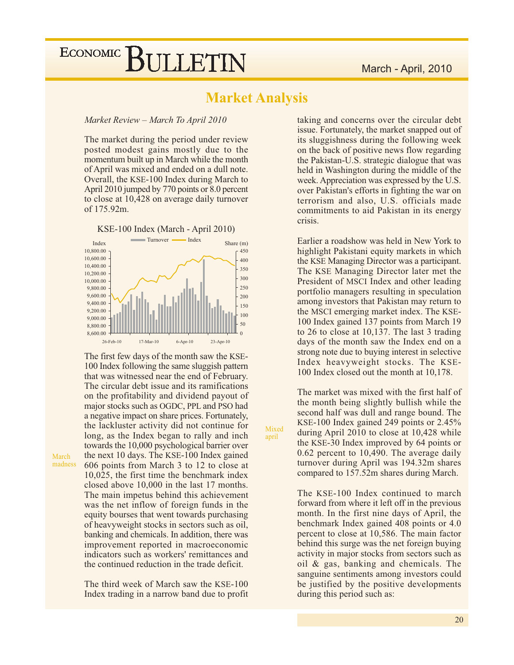### **Market Analysis**

Mixed

april

Market Review - March To April 2010

The market during the period under review posted modest gains mostly due to the momentum built up in March while the month of April was mixed and ended on a dull note. Overall, the KSE-100 Index during March to April 2010 jumped by 770 points or 8.0 percent to close at 10,428 on average daily turnover of 175.92m.



The first few days of the month saw the KSE-100 Index following the same sluggish pattern that was witnessed near the end of February. The circular debt issue and its ramifications on the profitability and dividend payout of major stocks such as OGDC, PPL and PSO had a negative impact on share prices. Fortunately, the lackluster activity did not continue for long, as the Index began to rally and inch towards the 10,000 psychological barrier over the next 10 days. The KSE-100 Index gained 606 points from March 3 to 12 to close at 10,025, the first time the benchmark index closed above 10,000 in the last 17 months. The main impetus behind this achievement was the net inflow of foreign funds in the equity bourses that went towards purchasing of heavyweight stocks in sectors such as oil, banking and chemicals. In addition, there was improvement reported in macroeconomic indicators such as workers' remittances and the continued reduction in the trade deficit.

The third week of March saw the KSE-100 Index trading in a narrow band due to profit

taking and concerns over the circular debt issue. Fortunately, the market snapped out of its sluggishness during the following week on the back of positive news flow regarding the Pakistan-U.S. strategic dialogue that was held in Washington during the middle of the week. Appreciation was expressed by the U.S. over Pakistan's efforts in fighting the war on terrorism and also, U.S. officials made commitments to aid Pakistan in its energy crisis.

Earlier a roadshow was held in New York to highlight Pakistani equity markets in which the KSE Managing Director was a participant. The KSE Managing Director later met the President of MSCI Index and other leading portfolio managers resulting in speculation among investors that Pakistan may return to the MSCI emerging market index. The KSE-100 Index gained 137 points from March 19 to 26 to close at 10,137. The last 3 trading days of the month saw the Index end on a strong note due to buying interest in selective Index heavyweight stocks. The KSE-100 Index closed out the month at 10,178.

The market was mixed with the first half of the month being slightly bullish while the second half was dull and range bound. The KSE-100 Index gained 249 points or  $2.45\%$ during April 2010 to close at 10,428 while the KSE-30 Index improved by 64 points or  $0.62$  percent to 10,490. The average daily turnover during April was 194.32m shares compared to 157.52m shares during March.

The KSE-100 Index continued to march forward from where it left off in the previous month. In the first nine days of April, the benchmark Index gained 408 points or 4.0 percent to close at 10,586. The main factor behind this surge was the net foreign buying activity in major stocks from sectors such as oil & gas, banking and chemicals. The sanguine sentiments among investors could be justified by the positive developments during this period such as:

20

March madness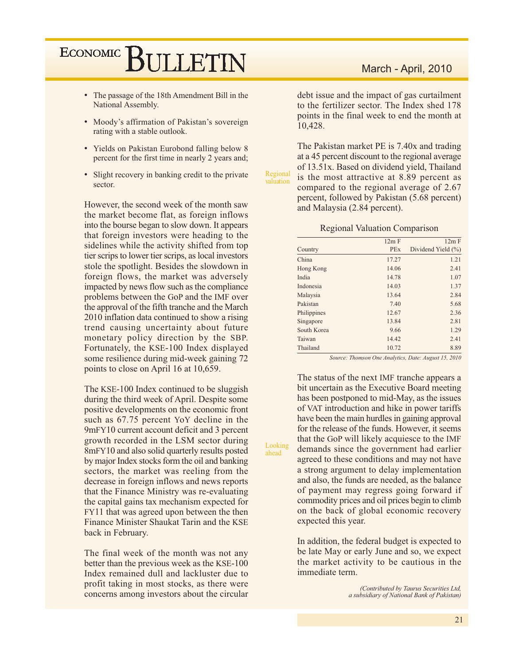- The passage of the 18th Amendment Bill in the National Assembly.
- Moody's affirmation of Pakistan's sovereign rating with a stable outlook.
- Yields on Pakistan Eurobond falling below 8 percent for the first time in nearly 2 years and;
- Slight recovery in banking credit to the private sector.

However, the second week of the month saw the market become flat, as foreign inflows into the bourse began to slow down. It appears that foreign investors were heading to the sidelines while the activity shifted from top tier scrips to lower tier scrips, as local investors stole the spotlight. Besides the slowdown in foreign flows, the market was adversely impacted by news flow such as the compliance problems between the GoP and the IMF over the approval of the fifth tranche and the March 2010 inflation data continued to show a rising trend causing uncertainty about future monetary policy direction by the SBP. Fortunately, the KSE-100 Index displayed some resilience during mid-week gaining 72 points to close on April 16 at 10,659.

The KSE-100 Index continued to be sluggish during the third week of April. Despite some positive developments on the economic front such as 67.75 percent YoY decline in the 9mFY10 current account deficit and 3 percent growth recorded in the LSM sector during 8mFY10 and also solid quarterly results posted by major Index stocks form the oil and banking sectors, the market was reeling from the decrease in foreign inflows and news reports that the Finance Ministry was re-evaluating the capital gains tax mechanism expected for FY11 that was agreed upon between the then Finance Minister Shaukat Tarin and the KSE back in February.

The final week of the month was not any better than the previous week as the KSE-100 Index remained dull and lackluster due to profit taking in most stocks, as there were concerns among investors about the circular

#### March - April, 2010

debt issue and the impact of gas curtailment to the fertilizer sector. The Index shed 178 points in the final week to end the month at 10,428.

The Pakistan market PE is 7.40x and trading at a 45 percent discount to the regional average of 13.51x. Based on dividend yield, Thailand Regional is the most attractive at 8.89 percent as valuation compared to the regional average of 2.67 percent, followed by Pakistan (5.68 percent) and Malaysia (2.84 percent).

#### **Regional Valuation Comparison**

|             | 12m F      | 12m F              |
|-------------|------------|--------------------|
| Country     | <b>PEx</b> | Dividend Yield (%) |
| China       | 17.27      | 1.21               |
| Hong Kong   | 14.06      | 2.41               |
| India       | 14.78      | 1.07               |
| Indonesia   | 14.03      | 1.37               |
| Malaysia    | 13.64      | 2.84               |
| Pakistan    | 7.40       | 5.68               |
| Philippines | 12.67      | 2.36               |
| Singapore   | 13.84      | 2.81               |
| South Korea | 9.66       | 1.29               |
| Taiwan      | 14.42      | 2.41               |
| Thailand    | 10.72      | 8.89               |
|             |            |                    |

Source: Thomson One Analytics, Date: August 15, 2010

The status of the next IMF tranche appears a bit uncertain as the Executive Board meeting has been postponed to mid-May, as the issues of VAT introduction and hike in power tariffs have been the main hurdles in gaining approval for the release of the funds. However, it seems that the GoP will likely acquiesce to the IMF demands since the government had earlier agreed to these conditions and may not have a strong argument to delay implementation and also, the funds are needed, as the balance of payment may regress going forward if commodity prices and oil prices begin to climb on the back of global economic recovery expected this year.

Looking

ahead

In addition, the federal budget is expected to be late May or early June and so, we expect the market activity to be cautious in the immediate term.

> (Contributed by Taurus Securities Ltd, a subsidiary of National Bank of Pakistan)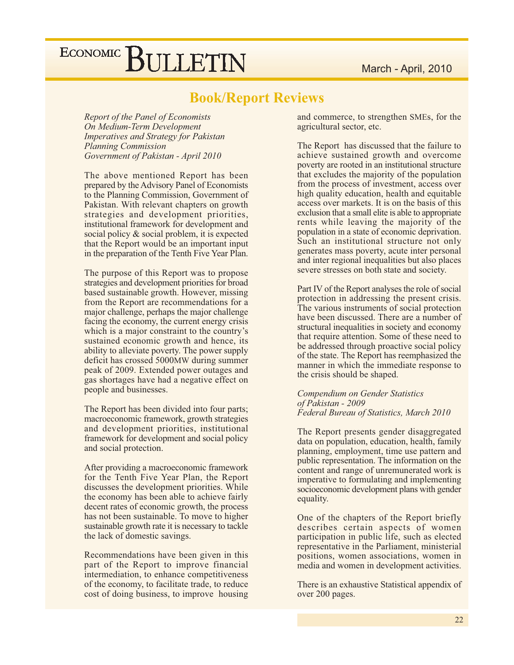### **Book/Report Reviews**

Report of the Panel of Economists On Medium-Term Development **Imperatives and Strategy for Pakistan Planning Commission** Government of Pakistan - April 2010

The above mentioned Report has been prepared by the Advisory Panel of Economists to the Planning Commission, Government of Pakistan. With relevant chapters on growth strategies and development priorities, institutional framework for development and social policy  $\&$  social problem, it is expected that the Report would be an important input in the preparation of the Tenth Five Year Plan.

The purpose of this Report was to propose strategies and development priorities for broad based sustainable growth. However, missing from the Report are recommendations for a major challenge, perhaps the major challenge facing the economy, the current energy crisis which is a major constraint to the country's sustained economic growth and hence, its ability to alleviate poverty. The power supply deficit has crossed 5000MW during summer peak of 2009. Extended power outages and gas shortages have had a negative effect on people and businesses.

The Report has been divided into four parts; macroeconomic framework, growth strategies and development priorities, institutional framework for development and social policy and social protection.

After providing a macroeconomic framework for the Tenth Five Year Plan, the Report discusses the development priorities. While the economy has been able to achieve fairly decent rates of economic growth, the process has not been sustainable. To move to higher sustainable growth rate it is necessary to tackle the lack of domestic savings.

Recommendations have been given in this part of the Report to improve financial intermediation, to enhance competitiveness of the economy, to facilitate trade, to reduce cost of doing business, to improve housing and commerce, to strengthen SMEs, for the agricultural sector, etc.

The Report has discussed that the failure to achieve sustained growth and overcome poverty are rooted in an institutional structure that excludes the majority of the population from the process of investment, access over high quality education, health and equitable access over markets. It is on the basis of this exclusion that a small elite is able to appropriate rents while leaving the majority of the population in a state of economic deprivation. Such an institutional structure not only generates mass poverty, acute inter personal and inter regional inequalities but also places severe stresses on both state and society.

Part IV of the Report analyses the role of social protection in addressing the present crisis. The various instruments of social protection have been discussed. There are a number of structural inequalities in society and economy that require attention. Some of these need to be addressed through proactive social policy of the state. The Report has reemphasized the manner in which the immediate response to the crisis should be shaped.

Compendium on Gender Statistics of Pakistan - 2009 Federal Bureau of Statistics, March 2010

The Report presents gender disaggregated data on population, education, health, family planning, employment, time use pattern and public representation. The information on the content and range of unremunerated work is imperative to formulating and implementing socioeconomic development plans with gender equality.

One of the chapters of the Report briefly describes certain aspects of women participation in public life, such as elected representative in the Parliament, ministerial positions, women associations, women in media and women in development activities.

There is an exhaustive Statistical appendix of over 200 pages.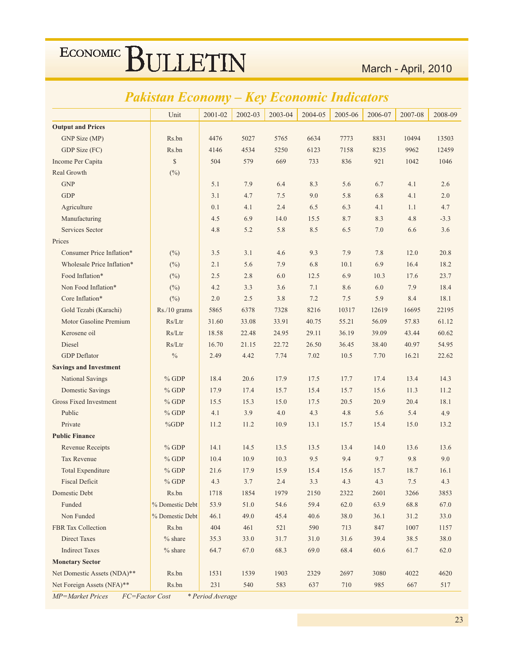### Pakistan Economy - Key Economic Indicators

|                               | Unit            | 2001-02 | 2002-03 | 2003-04 | 2004-05 | 2005-06 | 2006-07 | 2007-08 | 2008-09 |
|-------------------------------|-----------------|---------|---------|---------|---------|---------|---------|---------|---------|
| <b>Output and Prices</b>      |                 |         |         |         |         |         |         |         |         |
| GNP Size (MP)                 | Rs.bn           | 4476    | 5027    | 5765    | 6634    | 7773    | 8831    | 10494   | 13503   |
| GDP Size (FC)                 | Rs.bn           | 4146    | 4534    | 5250    | 6123    | 7158    | 8235    | 9962    | 12459   |
| Income Per Capita             | \$              | 504     | 579     | 669     | 733     | 836     | 921     | 1042    | 1046    |
| Real Growth                   | $(\%)$          |         |         |         |         |         |         |         |         |
| <b>GNP</b>                    |                 | 5.1     | 7.9     | 6.4     | 8.3     | 5.6     | 6.7     | 4.1     | 2.6     |
| <b>GDP</b>                    |                 | 3.1     | 4.7     | 7.5     | 9.0     | 5.8     | 6.8     | 4.1     | 2.0     |
| Agriculture                   |                 | 0.1     | 4.1     | 2.4     | 6.5     | 6.3     | 4.1     | 1.1     | 4.7     |
| Manufacturing                 |                 | 4.5     | 6.9     | 14.0    | 15.5    | 8.7     | 8.3     | 4.8     | $-3.3$  |
| <b>Services Sector</b>        |                 | 4.8     | 5.2     | 5.8     | 8.5     | 6.5     | 7.0     | 6.6     | 3.6     |
| Prices                        |                 |         |         |         |         |         |         |         |         |
| Consumer Price Inflation*     | $(\%)$          | 3.5     | 3.1     | 4.6     | 9.3     | 7.9     | 7.8     | 12.0    | 20.8    |
| Wholesale Price Inflation*    | (%)             | 2.1     | 5.6     | 7.9     | 6.8     | 10.1    | 6.9     | 16.4    | 18.2    |
| Food Inflation*               | $(\%)$          | 2.5     | 2.8     | 6.0     | 12.5    | 6.9     | 10.3    | 17.6    | 23.7    |
| Non Food Inflation*           | $(\%)$          | 4.2     | 3.3     | 3.6     | 7.1     | 8.6     | 6.0     | 7.9     | 18.4    |
| Core Inflation*               | $(\%)$          | 2.0     | 2.5     | 3.8     | 7.2     | 7.5     | 5.9     | 8.4     | 18.1    |
| Gold Tezabi (Karachi)         | Rs./10 grams    | 5865    | 6378    | 7328    | 8216    | 10317   | 12619   | 16695   | 22195   |
| Motor Gasoline Premium        | Rs/Ltr          | 31.60   | 33.08   | 33.91   | 40.75   | 55.21   | 56.09   | 57.83   | 61.12   |
| Kerosene oil                  | Rs/Ltr          | 18.58   | 22.48   | 24.95   | 29.11   | 36.19   | 39.09   | 43.44   | 60.62   |
| <b>Diesel</b>                 | Rs/Ltr          | 16.70   | 21.15   | 22.72   | 26.50   | 36.45   | 38.40   | 40.97   | 54.95   |
| <b>GDP</b> Deflator           | $\%$            | 2.49    | 4.42    | 7.74    | 7.02    | 10.5    | 7.70    | 16.21   | 22.62   |
| <b>Savings and Investment</b> |                 |         |         |         |         |         |         |         |         |
| National Savings              | $%$ GDP         | 18.4    | 20.6    | 17.9    | 17.5    | 17.7    | 17.4    | 13.4    | 14.3    |
| <b>Domestic Savings</b>       | $%$ GDP         | 17.9    | 17.4    | 15.7    | 15.4    | 15.7    | 15.6    | 11.3    | 11.2    |
| <b>Gross Fixed Investment</b> | $%$ GDP         | 15.5    | 15.3    | 15.0    | 17.5    | 20.5    | 20.9    | 20.4    | 18.1    |
| Public                        | $%$ GDP         | 4.1     | 3.9     | 4.0     | 4.3     | 4.8     | 5.6     | 5.4     | 4.9     |
| Private                       | $\%GDP$         | 11.2    | 11.2    | 10.9    | 13.1    | 15.7    | 15.4    | 15.0    | 13.2    |
| <b>Public Finance</b>         |                 |         |         |         |         |         |         |         |         |
| <b>Revenue Receipts</b>       | $%$ GDP         | 14.1    | 14.5    | 13.5    | 13.5    | 13.4    | 14.0    | 13.6    | 13.6    |
| <b>Tax Revenue</b>            | $%$ GDP         | 10.4    | 10.9    | 10.3    | 9.5     | 9.4     | 9.7     | 9.8     | 9.0     |
| <b>Total Expenditure</b>      | $%$ GDP         | 21.6    | 17.9    | 15.9    | 15.4    | 15.6    | 15.7    | 18.7    | 16.1    |
| <b>Fiscal Deficit</b>         | $%$ GDP         | 4.3     | 3.7     | 2.4     | 3.3     | 4.3     | 4.3     | 7.5     | 4.3     |
| Domestic Debt                 | Rs.bn           | 1718    | 1854    | 1979    | 2150    | 2322    | 2601    | 3266    | 3853    |
| Funded                        | % Domestic Debt | 53.9    | 51.0    | 54.6    | 59.4    | 62.0    | 63.9    | 68.8    | 67.0    |
| Non Funded                    | % Domestic Debt | 46.1    | 49.0    | 45.4    | 40.6    | 38.0    | 36.1    | 31.2    | 33.0    |
| FBR Tax Collection            | Rs.bn           | 404     | 461     | 521     | 590     | 713     | 847     | 1007    | 1157    |
| Direct Taxes                  | $%$ share       | 35.3    | 33.0    | 31.7    | 31.0    | 31.6    | 39.4    | 38.5    | 38.0    |
| <b>Indirect Taxes</b>         | $%$ share       | 64.7    | 67.0    | 68.3    | 69.0    | 68.4    | 60.6    | 61.7    | 62.0    |
| <b>Monetary Sector</b>        |                 |         |         |         |         |         |         |         |         |
| Net Domestic Assets (NDA)**   | Rs.bn           | 1531    | 1539    | 1903    | 2329    | 2697    | 3080    | 4022    | 4620    |
| Net Foreign Assets (NFA)**    | Rs.bn           | 231     | 540     | 583     | 637     | 710     | 985     | 667     | 517     |

MP=Market Prices FC=Factor Cost \* Period Average